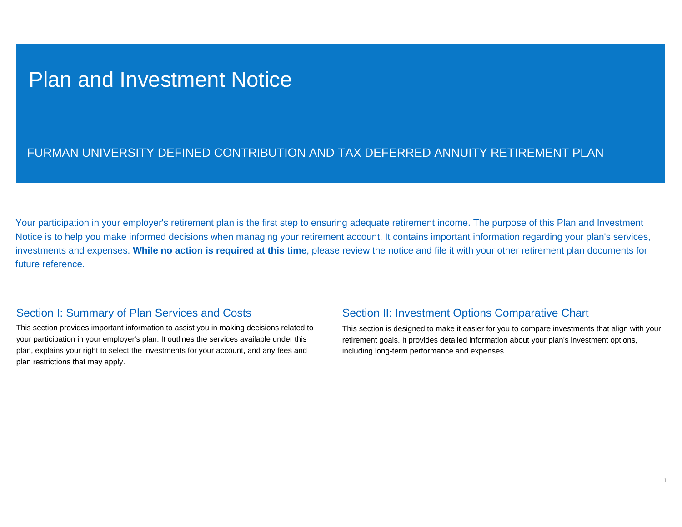# Plan and Investment Notice

# FURMAN UNIVERSITY DEFINED CONTRIBUTION AND TAX DEFERRED ANNUITY RETIREMENT PLAN

Your participation in your employer's retirement plan is the first step to ensuring adequate retirement income. The purpose of this Plan and Investment Notice is to help you make informed decisions when managing your retirement account. It contains important information regarding your plan's services, investments and expenses. **While no action is required at this time**, please review the notice and file it with your other retirement plan documents for future reference.

# Section I: Summary of Plan Services and Costs

This section provides important information to assist you in making decisions related to your participation in your employer's plan. It outlines the services available under this plan, explains your right to select the investments for your account, and any fees and plan restrictions that may apply.

# Section II: Investment Options Comparative Chart

This section is designed to make it easier for you to compare investments that align with your retirement goals. It provides detailed information about your plan's investment options, including long-term performance and expenses.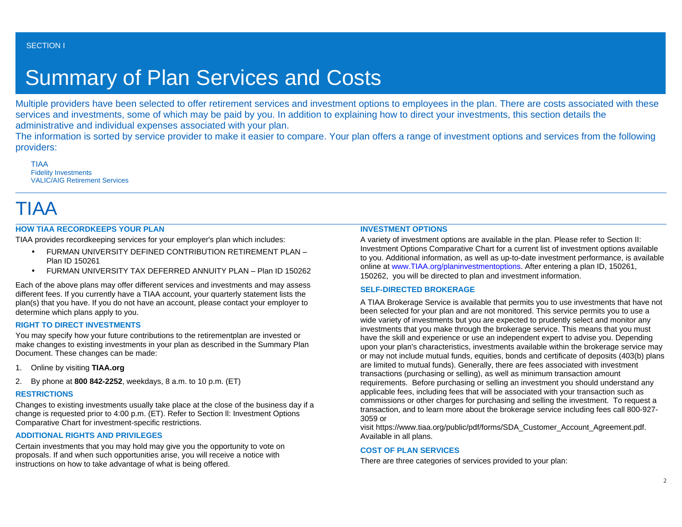# Summary of Plan Services and Costs

Multiple providers have been selected to offer retirement services and investment options to employees in the plan. There are costs associated with these services and investments, some of which may be paid by you. In addition to explaining how to direct your investments, this section details the administrative and individual expenses associated with your plan.

The information is sorted by service provider to make it easier to compare. Your plan offers a range of investment options and services from the following providers:

TIAA Fidelity Investments VALIC/AIG Retirement Services

# TIAA

# **HOW TIAA RECORDKEEPS YOUR PLAN**

TIAA provides recordkeeping services for your employer's plan which includes:

- FURMAN UNIVERSITY DEFINED CONTRIBUTION RETIREMENT PLAN Plan ID 150261
- FURMAN UNIVERSITY TAX DEFERRED ANNUITY PLAN Plan ID 150262

Each of the above plans may offer different services and investments and may assess different fees. If you currently have a TIAA account, your quarterly statement lists the plan(s) that you have. If you do not have an account, please contact your employer to determine which plans apply to you.

## **RIGHT TO DIRECT INVESTMENTS**

You may specify how your future contributions to the retirementplan are invested or make changes to existing investments in your plan as described in the Summary Plan Document. These changes can be made:

- 1. Online by visiting **TIAA.org**
- 2. By phone at **800 842-2252**, weekdays, 8 a.m. to 10 p.m. (ET)

# **RESTRICTIONS**

Changes to existing investments usually take place at the close of the business day if a change is requested prior to 4:00 p.m. (ET). Refer to Section ll: Investment Options Comparative Chart for investment-specific restrictions.

# **ADDITIONAL RIGHTS AND PRIVILEGES**

Certain investments that you may hold may give you the opportunity to vote on proposals. If and when such opportunities arise, you will receive a notice with instructions on how to take advantage of what is being offered.

# **INVESTMENT OPTIONS**

A variety of investment options are available in the plan. Please refer to Section II: Investment Options Comparative Chart for a current list of investment options available to you. Additional information, as well as up-to-date investment performance, is available online at [www.TIAA.org/planinvestmentoptions.](https://www.tiaa.org/public/investment-performance) After entering a plan ID, 150261, 150262, you will be directed to plan and investment information.

## **SELF-DIRECTED BROKERAGE**

A TIAA Brokerage Service is available that permits you to use investments that have not been selected for your plan and are not monitored. This service permits you to use a wide variety of investments but you are expected to prudently select and monitor any investments that you make through the brokerage service. This means that you must have the skill and experience or use an independent expert to advise you. Depending upon your plan's characteristics, investments available within the brokerage service may or may not include mutual funds, equities, bonds and certificate of deposits (403(b) plans are limited to mutual funds). Generally, there are fees associated with investment transactions (purchasing or selling), as well as minimum transaction amount requirements. Before purchasing or selling an investment you should understand any applicable fees, including fees that will be associated with your transaction such as commissions or other charges for purchasing and selling the investment. To request a transaction, and to learn more about the brokerage service including fees call 800-927- 3059 or

visit https://www.tiaa.org/public/pdf/forms/SDA\_Customer\_Account\_Agreement.pdf. Available in all plans.

## **COST OF PLAN SERVICES**

There are three categories of services provided to your plan: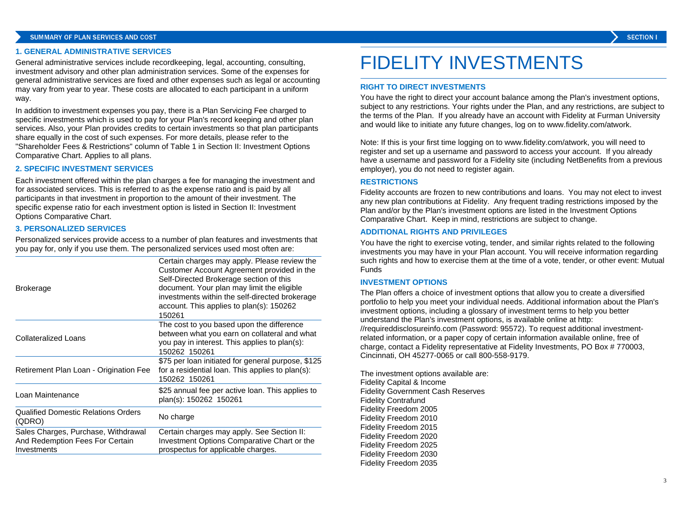#### **1. GENERAL ADMINISTRATIVE SERVICES**

General administrative services include recordkeeping, legal, accounting, consulting, investment advisory and other plan administration services. Some of the expenses for general administrative services are fixed and other expenses such as legal or accounting may vary from year to year. These costs are allocated to each participant in a uniform way.

In addition to investment expenses you pay, there is a Plan Servicing Fee charged to specific investments which is used to pay for your Plan's record keeping and other plan services. Also, your Plan provides credits to certain investments so that plan participants share equally in the cost of such expenses. For more details, please refer to the "Shareholder Fees & Restrictions" column of Table 1 in Section II: Investment Options Comparative Chart. Applies to all plans.

### **2. SPECIFIC INVESTMENT SERVICES**

Each investment offered within the plan charges a fee for managing the investment and for associated services. This is referred to as the expense ratio and is paid by all participants in that investment in proportion to the amount of their investment. The specific expense ratio for each investment option is listed in Section II: Investment Options Comparative Chart.

### **3. PERSONALIZED SERVICES**

Personalized services provide access to a number of plan features and investments that you pay for, only if you use them. The personalized services used most often are:

| <b>Brokerage</b>                                                                      | Certain charges may apply. Please review the<br>Customer Account Agreement provided in the<br>Self-Directed Brokerage section of this<br>document. Your plan may limit the eligible<br>investments within the self-directed brokerage<br>account. This applies to plan(s): 150262<br>150261 |
|---------------------------------------------------------------------------------------|---------------------------------------------------------------------------------------------------------------------------------------------------------------------------------------------------------------------------------------------------------------------------------------------|
| <b>Collateralized Loans</b>                                                           | The cost to you based upon the difference<br>between what you earn on collateral and what<br>you pay in interest. This applies to plan(s):<br>150262 150261                                                                                                                                 |
| Retirement Plan Loan - Origination Fee                                                | \$75 per loan initiated for general purpose, \$125<br>for a residential loan. This applies to plan(s):<br>150262 150261                                                                                                                                                                     |
| Loan Maintenance                                                                      | \$25 annual fee per active loan. This applies to<br>plan(s): 150262 150261                                                                                                                                                                                                                  |
| <b>Qualified Domestic Relations Orders</b><br>(QDRO)                                  | No charge                                                                                                                                                                                                                                                                                   |
| Sales Charges, Purchase, Withdrawal<br>And Redemption Fees For Certain<br>Investments | Certain charges may apply. See Section II:<br>Investment Options Comparative Chart or the<br>prospectus for applicable charges.                                                                                                                                                             |

# FIDELITY INVESTMENTS

### **RIGHT TO DIRECT INVESTMENTS**

You have the right to direct your account balance among the Plan's investment options, subject to any restrictions. Your rights under the Plan, and any restrictions, are subject to the terms of the Plan. If you already have an account with Fidelity at Furman University and would like to initiate any future changes, log on to www.fidelity.com/atwork.

Note: If this is your first time logging on to www.fidelity.com/atwork, you will need to register and set up a username and password to access your account. If you already have a username and password for a Fidelity site (including NetBenefits from a previous employer), you do not need to register again.

#### **RESTRICTIONS**

Fidelity accounts are frozen to new contributions and loans. You may not elect to invest any new plan contributions at Fidelity. Any frequent trading restrictions imposed by the Plan and/or by the Plan's investment options are listed in the Investment Options Comparative Chart. Keep in mind, restrictions are subject to change.

### **ADDITIONAL RIGHTS AND PRIVILEGES**

You have the right to exercise voting, tender, and similar rights related to the following investments you may have in your Plan account. You will receive information regarding such rights and how to exercise them at the time of a vote, tender, or other event: Mutual Funds

#### **INVESTMENT OPTIONS**

The Plan offers a choice of investment options that allow you to create a diversified portfolio to help you meet your individual needs. Additional information about the Plan's investment options, including a glossary of investment terms to help you better understand the Plan's investment options, is available online at http: //requireddisclosureinfo.com (Password: 95572). To request additional investmentrelated information, or a paper copy of certain information available online, free of charge, contact a Fidelity representative at Fidelity Investments, PO Box # 770003, Cincinnati, OH 45277-0065 or call 800-558-9179.

The investment options available are: Fidelity Capital & Income Fidelity Government Cash Reserves Fidelity Contrafund Fidelity Freedom 2005 Fidelity Freedom 2010 Fidelity Freedom 2015 Fidelity Freedom 2020 Fidelity Freedom 2025 Fidelity Freedom 2030 Fidelity Freedom 2035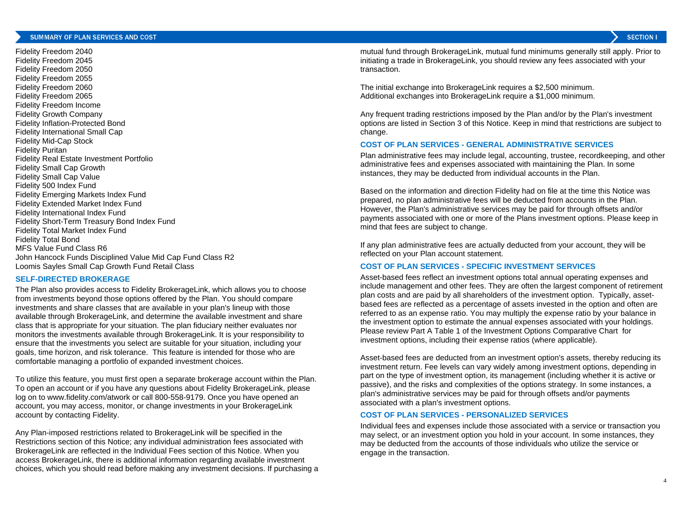Fidelity Freedom 2040 Fidelity Freedom 2045 Fidelity Freedom 2050 Fidelity Freedom 2055 Fidelity Freedom 2060 Fidelity Freedom 2065 Fidelity Freedom Income Fidelity Growth Company Fidelity Inflation-Protected Bond Fidelity International Small Cap Fidelity Mid-Cap Stock Fidelity Puritan Fidelity Real Estate Investment Portfolio Fidelity Small Cap Growth Fidelity Small Cap Value Fidelity 500 Index Fund Fidelity Emerging Markets Index Fund Fidelity Extended Market Index Fund Fidelity International Index Fund Fidelity Short-Term Treasury Bond Index Fund Fidelity Total Market Index Fund Fidelity Total Bond MFS Value Fund Class R6 John Hancock Funds Disciplined Value Mid Cap Fund Class R2 Loomis Sayles Small Cap Growth Fund Retail Class

#### **SELF-DIRECTED BROKERAGE**

The Plan also provides access to Fidelity BrokerageLink, which allows you to choose from investments beyond those options offered by the Plan. You should compare investments and share classes that are available in your plan's lineup with those available through BrokerageLink, and determine the available investment and share class that is appropriate for your situation. The plan fiduciary neither evaluates nor monitors the investments available through BrokerageLink. It is your responsibility to ensure that the investments you select are suitable for your situation, including your goals, time horizon, and risk tolerance. This feature is intended for those who are comfortable managing a portfolio of expanded investment choices.

To utilize this feature, you must first open a separate brokerage account within the Plan. To open an account or if you have any questions about Fidelity BrokerageLink, please log on to www.fidelity.com/atwork or call 800-558-9179. Once you have opened an account, you may access, monitor, or change investments in your BrokerageLink account by contacting Fidelity.

Any Plan-imposed restrictions related to BrokerageLink will be specified in the Restrictions section of this Notice; any individual administration fees associated with BrokerageLink are reflected in the Individual Fees section of this Notice. When you access BrokerageLink, there is additional information regarding available investment choices, which you should read before making any investment decisions. If purchasing a mutual fund through BrokerageLink, mutual fund minimums generally still apply. Prior to initiating a trade in BrokerageLink, you should review any fees associated with your transaction.

The initial exchange into BrokerageLink requires a \$2,500 minimum. Additional exchanges into BrokerageLink require a \$1,000 minimum.

Any frequent trading restrictions imposed by the Plan and/or by the Plan's investment options are listed in Section 3 of this Notice. Keep in mind that restrictions are subject to change.

### **COST OF PLAN SERVICES - GENERAL ADMINISTRATIVE SERVICES**

Plan administrative fees may include legal, accounting, trustee, recordkeeping, and other administrative fees and expenses associated with maintaining the Plan. In some instances, they may be deducted from individual accounts in the Plan.

Based on the information and direction Fidelity had on file at the time this Notice was prepared, no plan administrative fees will be deducted from accounts in the Plan. However, the Plan's administrative services may be paid for through offsets and/or payments associated with one or more of the Plans investment options. Please keep in mind that fees are subject to change.

If any plan administrative fees are actually deducted from your account, they will be reflected on your Plan account statement.

## **COST OF PLAN SERVICES - SPECIFIC INVESTMENT SERVICES**

Asset-based fees reflect an investment options total annual operating expenses and include management and other fees. They are often the largest component of retirement plan costs and are paid by all shareholders of the investment option. Typically, assetbased fees are reflected as a percentage of assets invested in the option and often are referred to as an expense ratio. You may multiply the expense ratio by your balance in the investment option to estimate the annual expenses associated with your holdings. Please review Part A Table 1 of the Investment Options Comparative Chart for investment options, including their expense ratios (where applicable).

Asset-based fees are deducted from an investment option's assets, thereby reducing its investment return. Fee levels can vary widely among investment options, depending in part on the type of investment option, its management (including whether it is active or passive), and the risks and complexities of the options strategy. In some instances, a plan's administrative services may be paid for through offsets and/or payments associated with a plan's investment options.

# **COST OF PLAN SERVICES - PERSONALIZED SERVICES**

Individual fees and expenses include those associated with a service or transaction you may select, or an investment option you hold in your account. In some instances, they may be deducted from the accounts of those individuals who utilize the service or engage in the transaction.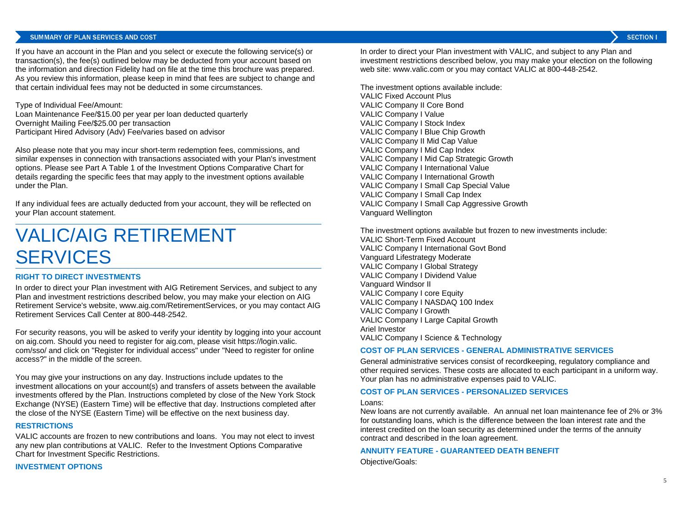### SUMMARY OF PLAN SERVICES AND COST

If you have an account in the Plan and you select or execute the following service(s) or transaction(s), the fee(s) outlined below may be deducted from your account based on the information and direction Fidelity had on file at the time this brochure was prepared. As you review this information, please keep in mind that fees are subject to change and that certain individual fees may not be deducted in some circumstances.

Type of Individual Fee/Amount: Loan Maintenance Fee/\$15.00 per year per loan deducted quarterly Overnight Mailing Fee/\$25.00 per transaction Participant Hired Advisory (Adv) Fee/varies based on advisor

Also please note that you may incur short-term redemption fees, commissions, and similar expenses in connection with transactions associated with your Plan's investment options. Please see Part A Table 1 of the Investment Options Comparative Chart for details regarding the specific fees that may apply to the investment options available under the Plan.

If any individual fees are actually deducted from your account, they will be reflected on your Plan account statement.

# VALIC/AIG RETIREMENT SERVICES

## **RIGHT TO DIRECT INVESTMENTS**

In order to direct your Plan investment with AIG Retirement Services, and subject to any Plan and investment restrictions described below, you may make your election on AIG Retirement Service's website, www.aig.com/RetirementServices, or you may contact AIG Retirement Services Call Center at 800-448-2542.

For security reasons, you will be asked to verify your identity by logging into your account on aig.com. Should you need to register for aig.com, please visit https://login.valic. com/sso/ and click on "Register for individual access" under "Need to register for online access?" in the middle of the screen.

You may give your instructions on any day. Instructions include updates to the investment allocations on your account(s) and transfers of assets between the available investments offered by the Plan. Instructions completed by close of the New York Stock Exchange (NYSE) (Eastern Time) will be effective that day. Instructions completed after the close of the NYSE (Eastern Time) will be effective on the next business day.

### **RESTRICTIONS**

VALIC accounts are frozen to new contributions and loans. You may not elect to invest any new plan contributions at VALIC. Refer to the Investment Options Comparative Chart for Investment Specific Restrictions.

#### **INVESTMENT OPTIONS**

In order to direct your Plan investment with VALIC, and subject to any Plan and investment restrictions described below, you may make your election on the following web site: www.valic.com or you may contact VALIC at 800-448-2542.

The investment options available include: VALIC Fixed Account Plus VALIC Company II Core Bond VALIC Company I Value VALIC Company I Stock Index VALIC Company I Blue Chip Growth VALIC Company II Mid Cap Value VALIC Company I Mid Cap Index VALIC Company I Mid Cap Strategic Growth VALIC Company I International Value VALIC Company I International Growth VALIC Company I Small Cap Special Value VALIC Company I Small Cap Index VALIC Company I Small Cap Aggressive Growth Vanguard Wellington

The investment options available but frozen to new investments include: VALIC Short-Term Fixed Account VALIC Company I International Govt Bond Vanguard Lifestrategy Moderate VALIC Company I Global Strategy VALIC Company I Dividend Value Vanguard Windsor II VALIC Company I core Equity VALIC Company I NASDAQ 100 Index VALIC Company I Growth VALIC Company I Large Capital Growth Ariel Investor VALIC Company I Science & Technology

### **COST OF PLAN SERVICES - GENERAL ADMINISTRATIVE SERVICES**

General administrative services consist of recordkeeping, regulatory compliance and other required services. These costs are allocated to each participant in a uniform way. Your plan has no administrative expenses paid to VALIC.

#### **COST OF PLAN SERVICES - PERSONALIZED SERVICES**

#### Loans:

New loans are not currently available. An annual net loan maintenance fee of 2% or 3% for outstanding loans, which is the difference between the loan interest rate and the interest credited on the loan security as determined under the terms of the annuity contract and described in the loan agreement.

### **ANNUITY FEATURE - GUARANTEED DEATH BENEFIT**

Objective/Goals: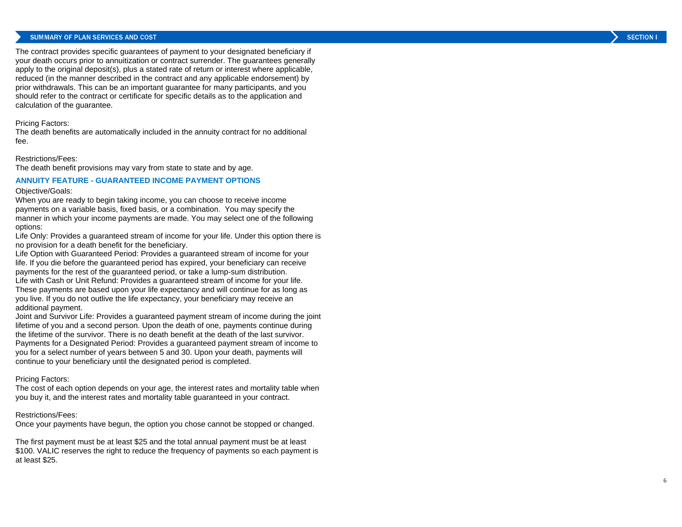#### SUMMARY OF PLAN SERVICES AND COST

The contract provides specific guarantees of payment to your designated beneficiary if your death occurs prior to annuitization or contract surrender. The guarantees generally apply to the original deposit(s), plus a stated rate of return or interest where applicable, reduced (in the manner described in the contract and any applicable endorsement) by prior withdrawals. This can be an important guarantee for many participants, and you should refer to the contract or certificate for specific details as to the application and calculation of the guarantee.

#### Pricing Factors:

The death benefits are automatically included in the annuity contract for no additional fee.

### Restrictions/Fees:

The death benefit provisions may vary from state to state and by age.

### **ANNUITY FEATURE - GUARANTEED INCOME PAYMENT OPTIONS**

#### Objective/Goals:

When you are ready to begin taking income, you can choose to receive income payments on a variable basis, fixed basis, or a combination. You may specify the manner in which your income payments are made. You may select one of the following options:

Life Only: Provides a guaranteed stream of income for your life. Under this option there is no provision for a death benefit for the beneficiary.

Life Option with Guaranteed Period: Provides a guaranteed stream of income for your life. If you die before the guaranteed period has expired, your beneficiary can receive payments for the rest of the guaranteed period, or take a lump-sum distribution. Life with Cash or Unit Refund: Provides a guaranteed stream of income for your life. These payments are based upon your life expectancy and will continue for as long as you live. If you do not outlive the life expectancy, your beneficiary may receive an additional payment.

Joint and Survivor Life: Provides a guaranteed payment stream of income during the joint lifetime of you and a second person. Upon the death of one, payments continue during the lifetime of the survivor. There is no death benefit at the death of the last survivor. Payments for a Designated Period: Provides a guaranteed payment stream of income to you for a select number of years between 5 and 30. Upon your death, payments will continue to your beneficiary until the designated period is completed.

### Pricing Factors:

The cost of each option depends on your age, the interest rates and mortality table when you buy it, and the interest rates and mortality table guaranteed in your contract.

#### Restrictions/Fees:

Once your payments have begun, the option you chose cannot be stopped or changed.

The first payment must be at least \$25 and the total annual payment must be at least \$100. VALIC reserves the right to reduce the frequency of payments so each payment is at least \$25.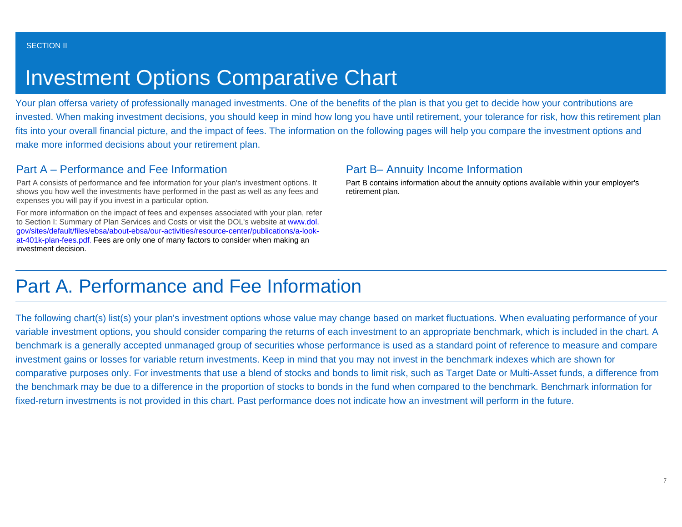# Investment Options Comparative Chart

Your plan offersa variety of professionally managed investments. One of the benefits of the plan is that you get to decide how your contributions are invested. When making investment decisions, you should keep in mind how long you have until retirement, your tolerance for risk, how this retirement plan fits into your overall financial picture, and the impact of fees. The information on the following pages will help you compare the investment options and make more informed decisions about your retirement plan.

# Part A – Performance and Fee Information

Part A consists of performance and fee information for your plan's investment options. It shows you how well the investments have performed in the past as well as any fees and expenses you will pay if you invest in a particular option.

For more information on the impact of fees and expenses associated with your plan, refer to Section I: Summary of Plan Services and Costs or visit the DOL's website at [www.dol.](http://www.dol.gov/sites/default/files/ebsa/about-ebsa/our-activities/resource-center/publications/a-look-at-401k-plan-fees.pdf) [gov/sites/default/files/ebsa/about-ebsa/our-activities/resource-center/publications/a-look](http://www.dol.gov/sites/default/files/ebsa/about-ebsa/our-activities/resource-center/publications/a-look-at-401k-plan-fees.pdf)[at-401k-plan-fees.pdf](http://www.dol.gov/sites/default/files/ebsa/about-ebsa/our-activities/resource-center/publications/a-look-at-401k-plan-fees.pdf). Fees are only one of many factors to consider when making an investment decision.

# Part B– Annuity Income Information

Part B contains information about the annuity options available within your employer's retirement plan.

# Part A. Performance and Fee Information

The following chart(s) list(s) your plan's investment options whose value may change based on market fluctuations. When evaluating performance of your variable investment options, you should consider comparing the returns of each investment to an appropriate benchmark, which is included in the chart. A benchmark is a generally accepted unmanaged group of securities whose performance is used as a standard point of reference to measure and compare investment gains or losses for variable return investments. Keep in mind that you may not invest in the benchmark indexes which are shown for comparative purposes only. For investments that use a blend of stocks and bonds to limit risk, such as Target Date or Multi-Asset funds, a difference from the benchmark may be due to a difference in the proportion of stocks to bonds in the fund when compared to the benchmark. Benchmark information for fixed-return investments is not provided in this chart. Past performance does not indicate how an investment will perform in the future.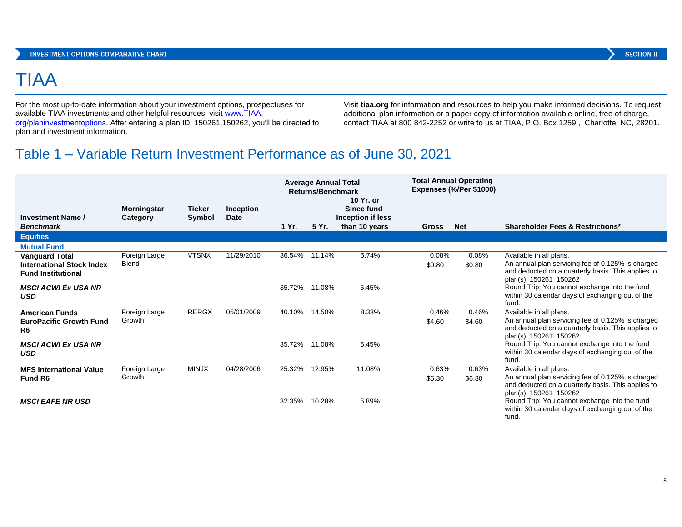# TIAA

For the most up-to-date information about your investment options, prospectuses for available TIAA investments and other helpful resources, visit [www.TIAA.](https://www.tiaa.org/public/investment-performance) [org/planinvestmentoptions](https://www.tiaa.org/public/investment-performance). After entering a plan ID, 150261,150262, you'll be directed to plan and investment information.

Visit **tiaa.org** for information and resources to help you make informed decisions. To request additional plan information or a paper copy of information available online, free of charge, contact TIAA at 800 842-2252 or write to us at TIAA, P.O. Box 1259 , Charlotte, NC, 28201.

# Table 1 – Variable Return Investment Performance as of June 30, 2021

|                                                                                        |                                |                         |                          | <b>Average Annual Total</b><br><b>Returns/Benchmark</b> |               | <b>Total Annual Operating</b><br>Expenses (%/Per \$1000)      |                 |                 |                                                                                                                                                              |
|----------------------------------------------------------------------------------------|--------------------------------|-------------------------|--------------------------|---------------------------------------------------------|---------------|---------------------------------------------------------------|-----------------|-----------------|--------------------------------------------------------------------------------------------------------------------------------------------------------------|
| <b>Investment Name /</b><br><b>Benchmark</b>                                           | <b>Morningstar</b><br>Category | <b>Ticker</b><br>Symbol | Inception<br><b>Date</b> | 1 Yr.                                                   | 5 Yr.         | 10 Yr. or<br>Since fund<br>Inception if less<br>than 10 years | <b>Gross</b>    | <b>Net</b>      | <b>Shareholder Fees &amp; Restrictions*</b>                                                                                                                  |
| <b>Equities</b>                                                                        |                                |                         |                          |                                                         |               |                                                               |                 |                 |                                                                                                                                                              |
| <b>Mutual Fund</b>                                                                     |                                |                         |                          |                                                         |               |                                                               |                 |                 |                                                                                                                                                              |
| <b>Vanguard Total</b><br><b>International Stock Index</b><br><b>Fund Institutional</b> | Foreign Large<br>Blend         | <b>VTSNX</b>            | 11/29/2010               | 36.54%                                                  | 11.14%        | 5.74%                                                         | 0.08%<br>\$0.80 | 0.08%<br>\$0.80 | Available in all plans.<br>An annual plan servicing fee of 0.125% is charged<br>and deducted on a quarterly basis. This applies to<br>plan(s): 150261 150262 |
| <b>MSCI ACWI Ex USA NR</b><br><b>USD</b>                                               |                                |                         |                          |                                                         | 35.72% 11.08% | 5.45%                                                         |                 |                 | Round Trip: You cannot exchange into the fund<br>within 30 calendar days of exchanging out of the<br>fund.                                                   |
| <b>American Funds</b><br><b>EuroPacific Growth Fund</b><br>R <sub>6</sub>              | Foreign Large<br>Growth        | <b>RERGX</b>            | 05/01/2009               | 40.10%                                                  | 14.50%        | 8.33%                                                         | 0.46%<br>\$4.60 | 0.46%<br>\$4.60 | Available in all plans.<br>An annual plan servicing fee of 0.125% is charged<br>and deducted on a quarterly basis. This applies to<br>plan(s): 150261 150262 |
| <b>MSCI ACWI Ex USA NR</b><br><b>USD</b>                                               |                                |                         |                          | 35.72%                                                  | 11.08%        | 5.45%                                                         |                 |                 | Round Trip: You cannot exchange into the fund<br>within 30 calendar days of exchanging out of the<br>fund.                                                   |
| <b>MFS International Value</b><br>Fund R <sub>6</sub>                                  | Foreign Large<br>Growth        | <b>MINJX</b>            | 04/28/2006               | 25.32%                                                  | 12.95%        | 11.08%                                                        | 0.63%<br>\$6.30 | 0.63%<br>\$6.30 | Available in all plans.<br>An annual plan servicing fee of 0.125% is charged<br>and deducted on a quarterly basis. This applies to<br>plan(s): 150261 150262 |
| <b>MSCI EAFE NR USD</b>                                                                |                                |                         |                          | 32.35%                                                  | 10.28%        | 5.89%                                                         |                 |                 | Round Trip: You cannot exchange into the fund<br>within 30 calendar days of exchanging out of the<br>fund.                                                   |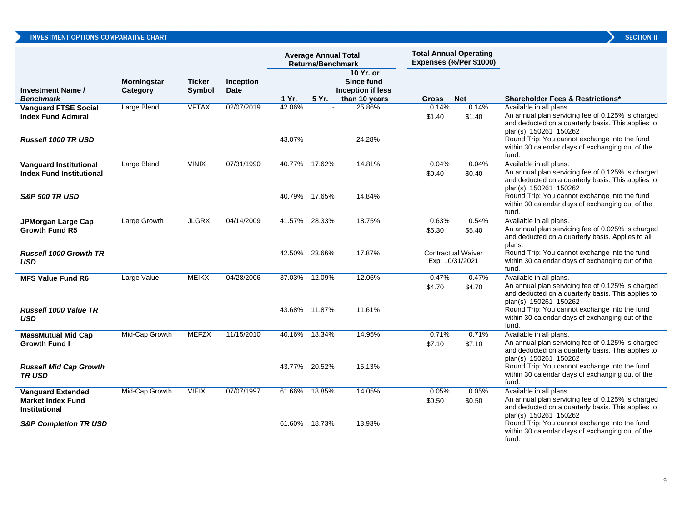| <b>SECTION I</b> |  |
|------------------|--|

|                                                                       |                                |                         |                                 | <b>Average Annual Total</b><br>Returns/Benchmark |        | <b>Total Annual Operating</b>                                 | Expenses (%/Per \$1000) |                                              |                                                                                                                                                                                                               |
|-----------------------------------------------------------------------|--------------------------------|-------------------------|---------------------------------|--------------------------------------------------|--------|---------------------------------------------------------------|-------------------------|----------------------------------------------|---------------------------------------------------------------------------------------------------------------------------------------------------------------------------------------------------------------|
| <b>Investment Name /</b><br><b>Benchmark</b>                          | <b>Morningstar</b><br>Category | <b>Ticker</b><br>Symbol | <b>Inception</b><br><b>Date</b> | 1 Yr.                                            | 5 Yr.  | 10 Yr. or<br>Since fund<br>Inception if less<br>than 10 years | Gross                   | <b>Net</b>                                   | <b>Shareholder Fees &amp; Restrictions*</b>                                                                                                                                                                   |
| <b>Vanguard FTSE Social</b><br><b>Index Fund Admiral</b>              | Large Blend                    | <b>VFTAX</b>            | 02/07/2019                      | 42.06%<br>43.07%                                 |        | 25.86%<br>24.28%                                              | 0.14%<br>\$1.40         | 0.14%<br>\$1.40                              | Available in all plans.<br>An annual plan servicing fee of 0.125% is charged<br>and deducted on a quarterly basis. This applies to<br>plan(s): 150261 150262<br>Round Trip: You cannot exchange into the fund |
| <b>Russell 1000 TR USD</b>                                            |                                |                         |                                 |                                                  |        |                                                               |                         |                                              | within 30 calendar days of exchanging out of the<br>fund.                                                                                                                                                     |
| <b>Vanquard Institutional</b><br><b>Index Fund Institutional</b>      | Large Blend                    | <b>VINIX</b>            | 07/31/1990                      | 40.77%                                           | 17.62% | 14.81%                                                        | 0.04%<br>\$0.40         | 0.04%<br>\$0.40                              | Available in all plans.<br>An annual plan servicing fee of 0.125% is charged<br>and deducted on a quarterly basis. This applies to<br>plan(s): 150261 150262                                                  |
| <b>S&amp;P 500 TR USD</b>                                             |                                |                         |                                 | 40.79% 17.65%                                    |        | 14.84%                                                        |                         |                                              | Round Trip: You cannot exchange into the fund<br>within 30 calendar days of exchanging out of the<br>fund.                                                                                                    |
| JPMorgan Large Cap<br><b>Growth Fund R5</b>                           | Large Growth                   | <b>JLGRX</b>            | 04/14/2009                      | 41.57%                                           | 28.33% | 18.75%                                                        | 0.63%<br>\$6.30         | 0.54%<br>\$5.40                              | Available in all plans.<br>An annual plan servicing fee of 0.025% is charged<br>and deducted on a quarterly basis. Applies to all<br>plans.                                                                   |
| <b>Russell 1000 Growth TR</b><br><b>USD</b>                           |                                |                         |                                 | 42.50%                                           | 23.66% | 17.87%                                                        |                         | <b>Contractual Waiver</b><br>Exp: 10/31/2021 | Round Trip: You cannot exchange into the fund<br>within 30 calendar days of exchanging out of the<br>fund.                                                                                                    |
| <b>MFS Value Fund R6</b>                                              | Large Value                    | <b>MEIKX</b>            | 04/28/2006                      | 37.03%                                           | 12.09% | 12.06%                                                        | 0.47%<br>\$4.70         | 0.47%<br>\$4.70                              | Available in all plans.<br>An annual plan servicing fee of 0.125% is charged<br>and deducted on a quarterly basis. This applies to<br>plan(s): 150261 150262                                                  |
| Russell 1000 Value TR<br><b>USD</b>                                   |                                |                         |                                 | 43.68% 11.87%                                    |        | 11.61%                                                        |                         |                                              | Round Trip: You cannot exchange into the fund<br>within 30 calendar days of exchanging out of the<br>fund.                                                                                                    |
| <b>MassMutual Mid Cap</b><br><b>Growth Fund I</b>                     | Mid-Cap Growth                 | <b>MEFZX</b>            | 11/15/2010                      | 40.16%                                           | 18.34% | 14.95%                                                        | 0.71%<br>\$7.10         | 0.71%<br>\$7.10                              | Available in all plans.<br>An annual plan servicing fee of 0.125% is charged<br>and deducted on a quarterly basis. This applies to<br>plan(s): 150261 150262                                                  |
| <b>Russell Mid Cap Growth</b><br><b>TRUSD</b>                         |                                |                         |                                 | 43.77% 20.52%                                    |        | 15.13%                                                        |                         |                                              | Round Trip: You cannot exchange into the fund<br>within 30 calendar days of exchanging out of the<br>fund.                                                                                                    |
| <b>Vanguard Extended</b><br><b>Market Index Fund</b><br>Institutional | Mid-Cap Growth                 | <b>VIEIX</b>            | 07/07/1997                      | 61.66%                                           | 18.85% | 14.05%                                                        | 0.05%<br>\$0.50         | 0.05%<br>\$0.50                              | Available in all plans.<br>An annual plan servicing fee of 0.125% is charged<br>and deducted on a quarterly basis. This applies to<br>plan(s): 150261 150262                                                  |
| <b>S&amp;P Completion TR USD</b>                                      |                                |                         |                                 | 61.60% 18.73%                                    |        | 13.93%                                                        |                         |                                              | Round Trip: You cannot exchange into the fund<br>within 30 calendar days of exchanging out of the<br>fund.                                                                                                    |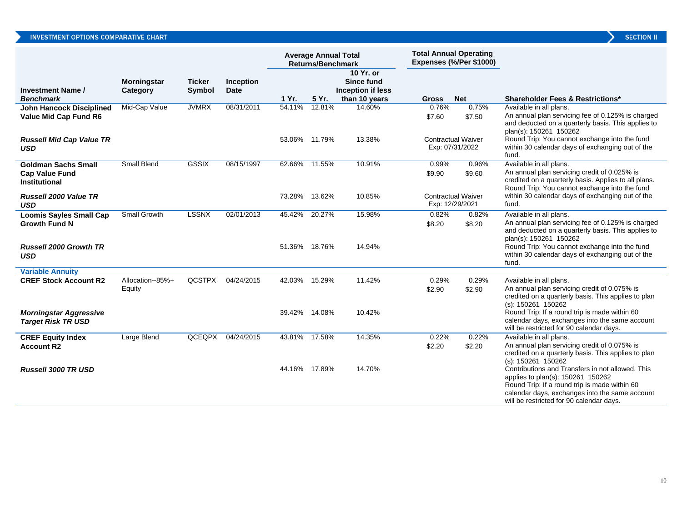|                                                                             |                                |                         |                          | <b>Average Annual Total</b><br><b>Returns/Benchmark</b> |               |                                              |                 | <b>Total Annual Operating</b><br>Expenses (%/Per \$1000) |                                                                                                                                                                                                                                      |
|-----------------------------------------------------------------------------|--------------------------------|-------------------------|--------------------------|---------------------------------------------------------|---------------|----------------------------------------------|-----------------|----------------------------------------------------------|--------------------------------------------------------------------------------------------------------------------------------------------------------------------------------------------------------------------------------------|
| <b>Investment Name /</b>                                                    | <b>Morningstar</b><br>Category | <b>Ticker</b><br>Symbol | Inception<br><b>Date</b> |                                                         |               | 10 Yr. or<br>Since fund<br>Inception if less |                 |                                                          |                                                                                                                                                                                                                                      |
| <b>Benchmark</b>                                                            |                                |                         |                          | 1 Yr.                                                   | 5 Yr.         | than 10 years                                | <b>Gross</b>    | <b>Net</b>                                               | <b>Shareholder Fees &amp; Restrictions*</b>                                                                                                                                                                                          |
| John Hancock Disciplined<br>Value Mid Cap Fund R6                           | Mid-Cap Value                  | <b>JVMRX</b>            | 08/31/2011               | 54.11%                                                  | 12.81%        | 14.60%                                       | 0.76%<br>\$7.60 | 0.75%<br>\$7.50                                          | Available in all plans.<br>An annual plan servicing fee of 0.125% is charged<br>and deducted on a quarterly basis. This applies to<br>plan(s): 150261 150262                                                                         |
| <b>Russell Mid Cap Value TR</b><br><b>USD</b>                               |                                |                         |                          | 53.06% 11.79%                                           |               | 13.38%                                       |                 | <b>Contractual Waiver</b><br>Exp: 07/31/2022             | Round Trip: You cannot exchange into the fund<br>within 30 calendar days of exchanging out of the<br>fund.                                                                                                                           |
| <b>Goldman Sachs Small</b><br><b>Cap Value Fund</b><br><b>Institutional</b> | <b>Small Blend</b>             | <b>GSSIX</b>            | 08/15/1997               | 62.66%                                                  | 11.55%        | 10.91%                                       | 0.99%<br>\$9.90 | 0.96%<br>\$9.60                                          | Available in all plans.<br>An annual plan servicing credit of 0.025% is<br>credited on a quarterly basis. Applies to all plans.<br>Round Trip: You cannot exchange into the fund                                                     |
| <b>Russell 2000 Value TR</b><br><b>USD</b>                                  |                                |                         |                          | 73.28% 13.62%                                           |               | 10.85%                                       |                 | <b>Contractual Waiver</b><br>Exp: 12/29/2021             | within 30 calendar days of exchanging out of the<br>fund.                                                                                                                                                                            |
| <b>Loomis Sayles Small Cap</b><br><b>Growth Fund N</b>                      | Small Growth                   | <b>LSSNX</b>            | 02/01/2013               | 45.42%                                                  | 20.27%        | 15.98%                                       | 0.82%<br>\$8.20 | 0.82%<br>\$8.20                                          | Available in all plans.<br>An annual plan servicing fee of 0.125% is charged<br>and deducted on a quarterly basis. This applies to<br>plan(s): 150261 150262                                                                         |
| <b>Russell 2000 Growth TR</b><br><b>USD</b>                                 |                                |                         |                          | 51.36% 18.76%                                           |               | 14.94%                                       |                 |                                                          | Round Trip: You cannot exchange into the fund<br>within 30 calendar days of exchanging out of the<br>fund.                                                                                                                           |
| <b>Variable Annuity</b>                                                     |                                |                         |                          |                                                         |               |                                              |                 |                                                          |                                                                                                                                                                                                                                      |
| <b>CREF Stock Account R2</b>                                                | Allocation--85%+<br>Equity     | <b>QCSTPX</b>           | 04/24/2015               | 42.03%                                                  | 15.29%        | 11.42%                                       | 0.29%<br>\$2.90 | 0.29%<br>\$2.90                                          | Available in all plans.<br>An annual plan servicing credit of 0.075% is<br>credited on a quarterly basis. This applies to plan<br>(s): 150261 150262                                                                                 |
| <b>Morningstar Aggressive</b><br><b>Target Risk TR USD</b>                  |                                |                         |                          |                                                         | 39.42% 14.08% | 10.42%                                       |                 |                                                          | Round Trip: If a round trip is made within 60<br>calendar days, exchanges into the same account<br>will be restricted for 90 calendar days.                                                                                          |
| <b>CREF Equity Index</b><br><b>Account R2</b>                               | Large Blend                    | <b>QCEQPX</b>           | 04/24/2015               | 43.81%                                                  | 17.58%        | 14.35%                                       | 0.22%<br>\$2.20 | 0.22%<br>\$2.20                                          | Available in all plans.<br>An annual plan servicing credit of 0.075% is<br>credited on a quarterly basis. This applies to plan<br>(s): 150261 150262                                                                                 |
| <b>Russell 3000 TR USD</b>                                                  |                                |                         |                          | 44.16% 17.89%                                           |               | 14.70%                                       |                 |                                                          | Contributions and Transfers in not allowed. This<br>applies to plan(s): 150261 150262<br>Round Trip: If a round trip is made within 60<br>calendar days, exchanges into the same account<br>will be restricted for 90 calendar days. |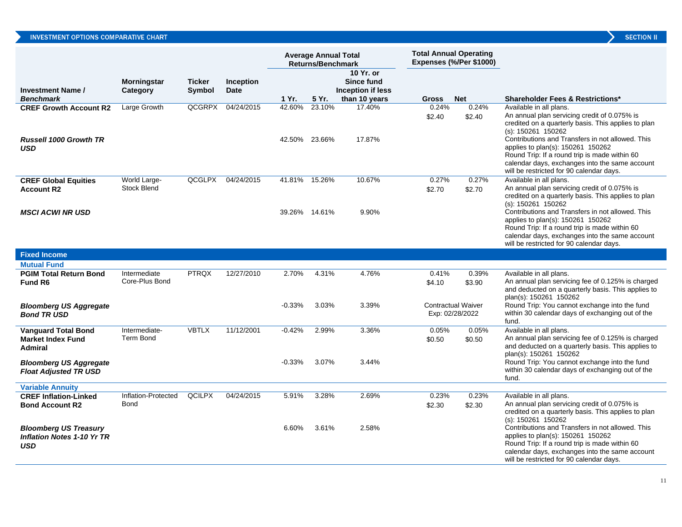|                                                                             |                                    |                                |                                 |                         | <b>Average Annual Total</b><br><b>Returns/Benchmark</b> |                                                               | <b>Total Annual Operating</b> | Expenses (%/Per \$1000)                      |                                                                                                                                                                                                                                                                                                                                                                                                                                          |
|-----------------------------------------------------------------------------|------------------------------------|--------------------------------|---------------------------------|-------------------------|---------------------------------------------------------|---------------------------------------------------------------|-------------------------------|----------------------------------------------|------------------------------------------------------------------------------------------------------------------------------------------------------------------------------------------------------------------------------------------------------------------------------------------------------------------------------------------------------------------------------------------------------------------------------------------|
| <b>Investment Name /</b><br><b>Benchmark</b>                                | <b>Morningstar</b><br>Category     | <b>Ticker</b><br><b>Symbol</b> | <b>Inception</b><br><b>Date</b> | 1 Yr.                   | 5 Yr.                                                   | 10 Yr. or<br>Since fund<br>Inception if less<br>than 10 years | <b>Gross</b>                  | <b>Net</b>                                   | <b>Shareholder Fees &amp; Restrictions*</b>                                                                                                                                                                                                                                                                                                                                                                                              |
| <b>CREF Growth Account R2</b><br><b>Russell 1000 Growth TR</b><br>USD       | Large Growth                       | QCGRPX                         | 04/24/2015                      | 42.60%<br>42.50%        | 23.10%<br>23.66%                                        | 17.40%<br>17.87%                                              | 0.24%<br>\$2.40               | 0.24%<br>\$2.40                              | Available in all plans.<br>An annual plan servicing credit of 0.075% is<br>credited on a quarterly basis. This applies to plan<br>(s): 150261 150262<br>Contributions and Transfers in not allowed. This<br>applies to plan(s): 150261 150262<br>Round Trip: If a round trip is made within 60<br>calendar days, exchanges into the same account                                                                                         |
| <b>CREF Global Equities</b><br><b>Account R2</b><br><b>MSCI ACWI NR USD</b> | World Large-<br>Stock Blend        | QCGLPX                         | 04/24/2015                      | 41.81%<br>39.26% 14.61% | 15.26%                                                  | 10.67%<br>9.90%                                               | 0.27%<br>\$2.70               | 0.27%<br>\$2.70                              | will be restricted for 90 calendar days.<br>Available in all plans.<br>An annual plan servicing credit of 0.075% is<br>credited on a quarterly basis. This applies to plan<br>(s): 150261 150262<br>Contributions and Transfers in not allowed. This<br>applies to plan(s): 150261 150262<br>Round Trip: If a round trip is made within 60<br>calendar days, exchanges into the same account<br>will be restricted for 90 calendar days. |
| <b>Fixed Income</b>                                                         |                                    |                                |                                 |                         |                                                         |                                                               |                               |                                              |                                                                                                                                                                                                                                                                                                                                                                                                                                          |
| <b>Mutual Fund</b>                                                          |                                    | <b>PTRQX</b>                   | 12/27/2010                      | 2.70%                   | 4.31%                                                   | 4.76%                                                         | 0.41%                         | 0.39%                                        | Available in all plans.                                                                                                                                                                                                                                                                                                                                                                                                                  |
| <b>PGIM Total Return Bond</b><br>Fund R6                                    | Intermediate<br>Core-Plus Bond     |                                |                                 |                         |                                                         |                                                               | \$4.10                        | \$3.90                                       | An annual plan servicing fee of 0.125% is charged<br>and deducted on a quarterly basis. This applies to<br>plan(s): 150261 150262                                                                                                                                                                                                                                                                                                        |
| <b>Bloomberg US Aggregate</b><br><b>Bond TR USD</b>                         |                                    |                                |                                 | $-0.33\%$               | 3.03%                                                   | 3.39%                                                         |                               | <b>Contractual Waiver</b><br>Exp: 02/28/2022 | Round Trip: You cannot exchange into the fund<br>within 30 calendar days of exchanging out of the<br>fund.                                                                                                                                                                                                                                                                                                                               |
| <b>Vanguard Total Bond</b><br><b>Market Index Fund</b><br><b>Admiral</b>    | Intermediate-<br><b>Term Bond</b>  | <b>VBTLX</b>                   | 11/12/2001                      | $-0.42%$                | 2.99%                                                   | 3.36%                                                         | 0.05%<br>\$0.50               | 0.05%<br>\$0.50                              | Available in all plans.<br>An annual plan servicing fee of 0.125% is charged<br>and deducted on a quarterly basis. This applies to<br>plan(s): 150261 150262                                                                                                                                                                                                                                                                             |
| <b>Bloomberg US Aggregate</b><br><b>Float Adjusted TR USD</b>               |                                    |                                |                                 | $-0.33\%$               | 3.07%                                                   | 3.44%                                                         |                               |                                              | Round Trip: You cannot exchange into the fund<br>within 30 calendar days of exchanging out of the<br>fund.                                                                                                                                                                                                                                                                                                                               |
| <b>Variable Annuity</b>                                                     |                                    |                                |                                 |                         |                                                         |                                                               |                               |                                              |                                                                                                                                                                                                                                                                                                                                                                                                                                          |
| <b>CREF Inflation-Linked</b><br><b>Bond Account R2</b>                      | Inflation-Protected<br><b>Bond</b> | <b>QCILPX</b>                  | 04/24/2015                      | 5.91%                   | 3.28%                                                   | 2.69%                                                         | 0.23%<br>\$2.30               | 0.23%<br>\$2.30                              | Available in all plans.<br>An annual plan servicing credit of 0.075% is<br>credited on a quarterly basis. This applies to plan<br>(s): 150261 150262                                                                                                                                                                                                                                                                                     |
| <b>Bloomberg US Treasury</b><br><b>Inflation Notes 1-10 Yr TR</b><br>USD    |                                    |                                |                                 | 6.60%                   | 3.61%                                                   | 2.58%                                                         |                               |                                              | Contributions and Transfers in not allowed. This<br>applies to plan(s): 150261 150262<br>Round Trip: If a round trip is made within 60<br>calendar days, exchanges into the same account<br>will be restricted for 90 calendar days.                                                                                                                                                                                                     |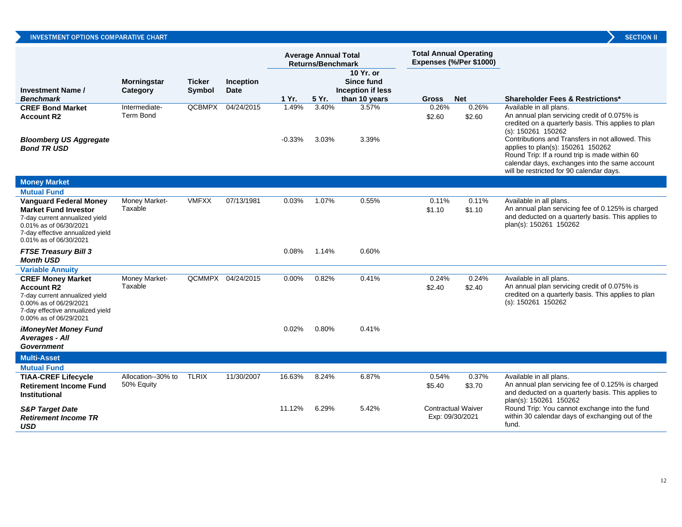| צ | <b>SECTION I</b> |  |
|---|------------------|--|
|   |                  |  |
|   |                  |  |

|                                                                                                                                                                                        |                                  |                         |                          | <b>Total Annual Operating</b><br><b>Average Annual Total</b><br>Expenses (%/Per \$1000)<br><b>Returns/Benchmark</b> |                |                                                               |                 |                                              |                                                                                                                                                                                                             |
|----------------------------------------------------------------------------------------------------------------------------------------------------------------------------------------|----------------------------------|-------------------------|--------------------------|---------------------------------------------------------------------------------------------------------------------|----------------|---------------------------------------------------------------|-----------------|----------------------------------------------|-------------------------------------------------------------------------------------------------------------------------------------------------------------------------------------------------------------|
| <b>Investment Name /</b><br><b>Benchmark</b>                                                                                                                                           | <b>Morningstar</b><br>Category   | <b>Ticker</b><br>Symbol | Inception<br><b>Date</b> | 1 Yr.                                                                                                               | 5 Yr.          | 10 Yr. or<br>Since fund<br>Inception if less<br>than 10 years | Gross           | <b>Net</b>                                   | <b>Shareholder Fees &amp; Restrictions*</b>                                                                                                                                                                 |
| <b>CREF Bond Market</b><br><b>Account R2</b><br><b>Bloomberg US Aggregate</b>                                                                                                          | Intermediate-<br>Term Bond       | <b>QCBMPX</b>           | 04/24/2015               | 1.49%<br>$-0.33%$                                                                                                   | 3.40%<br>3.03% | 3.57%<br>3.39%                                                | 0.26%<br>\$2.60 | 0.26%<br>\$2.60                              | Available in all plans.<br>An annual plan servicing credit of 0.075% is<br>credited on a quarterly basis. This applies to plan<br>$(s)$ : 150261 150262<br>Contributions and Transfers in not allowed. This |
| <b>Bond TR USD</b>                                                                                                                                                                     |                                  |                         |                          |                                                                                                                     |                |                                                               |                 |                                              | applies to plan(s): 150261 150262<br>Round Trip: If a round trip is made within 60<br>calendar days, exchanges into the same account<br>will be restricted for 90 calendar days.                            |
| <b>Money Market</b>                                                                                                                                                                    |                                  |                         |                          |                                                                                                                     |                |                                                               |                 |                                              |                                                                                                                                                                                                             |
| <b>Mutual Fund</b>                                                                                                                                                                     |                                  |                         |                          |                                                                                                                     |                |                                                               |                 |                                              |                                                                                                                                                                                                             |
| <b>Vanguard Federal Money</b><br><b>Market Fund Investor</b><br>7-day current annualized yield<br>0.01% as of 06/30/2021<br>7-day effective annualized yield<br>0.01% as of 06/30/2021 | Money Market-<br>Taxable         | <b>VMFXX</b>            | 07/13/1981               | 0.03%                                                                                                               | 1.07%          | 0.55%                                                         | 0.11%<br>\$1.10 | 0.11%<br>\$1.10                              | Available in all plans.<br>An annual plan servicing fee of 0.125% is charged<br>and deducted on a quarterly basis. This applies to<br>plan(s): 150261 150262                                                |
| <b>FTSE Treasury Bill 3</b><br><b>Month USD</b>                                                                                                                                        |                                  |                         |                          | 0.08%                                                                                                               | 1.14%          | 0.60%                                                         |                 |                                              |                                                                                                                                                                                                             |
| <b>Variable Annuity</b>                                                                                                                                                                |                                  |                         |                          |                                                                                                                     |                |                                                               |                 |                                              |                                                                                                                                                                                                             |
| <b>CREF Money Market</b><br><b>Account R2</b><br>7-day current annualized yield<br>0.00% as of 06/29/2021<br>7-day effective annualized yield<br>0.00% as of 06/29/2021                | Money Market-<br>Taxable         |                         | QCMMPX 04/24/2015        | 0.00%                                                                                                               | 0.82%          | 0.41%                                                         | 0.24%<br>\$2.40 | 0.24%<br>\$2.40                              | Available in all plans.<br>An annual plan servicing credit of 0.075% is<br>credited on a quarterly basis. This applies to plan<br>$(s)$ : 150261 150262                                                     |
| <b>iMoneyNet Money Fund</b><br>Averages - All<br><b>Government</b>                                                                                                                     |                                  |                         |                          | 0.02%                                                                                                               | 0.80%          | 0.41%                                                         |                 |                                              |                                                                                                                                                                                                             |
| <b>Multi-Asset</b>                                                                                                                                                                     |                                  |                         |                          |                                                                                                                     |                |                                                               |                 |                                              |                                                                                                                                                                                                             |
| <b>Mutual Fund</b>                                                                                                                                                                     |                                  |                         |                          |                                                                                                                     |                |                                                               |                 |                                              |                                                                                                                                                                                                             |
| <b>TIAA-CREF Lifecycle</b><br><b>Retirement Income Fund</b><br><b>Institutional</b>                                                                                                    | Allocation--30% to<br>50% Equity | <b>TLRIX</b>            | 11/30/2007               | 16.63%                                                                                                              | 8.24%          | 6.87%                                                         | 0.54%<br>\$5.40 | 0.37%<br>\$3.70                              | Available in all plans.<br>An annual plan servicing fee of 0.125% is charged<br>and deducted on a quarterly basis. This applies to<br>plan(s): 150261 150262                                                |
| <b>S&amp;P Target Date</b><br><b>Retirement Income TR</b><br><b>USD</b>                                                                                                                |                                  |                         |                          | 11.12%                                                                                                              | 6.29%          | 5.42%                                                         |                 | <b>Contractual Waiver</b><br>Exp: 09/30/2021 | Round Trip: You cannot exchange into the fund<br>within 30 calendar days of exchanging out of the<br>fund.                                                                                                  |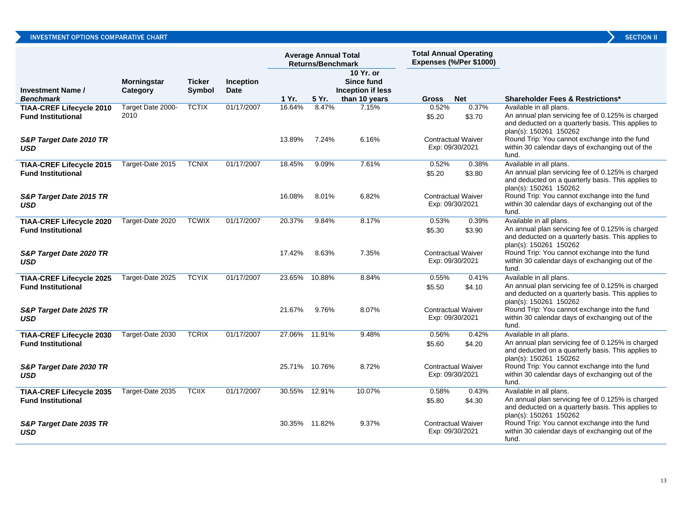|                                                              |                                |                         |                   |               | <b>Average Annual Total</b><br><b>Returns/Benchmark</b> |                                                               | <b>Total Annual Operating</b> | <b>Expenses (%/Per \$1000)</b> |                                                                                                                                                              |
|--------------------------------------------------------------|--------------------------------|-------------------------|-------------------|---------------|---------------------------------------------------------|---------------------------------------------------------------|-------------------------------|--------------------------------|--------------------------------------------------------------------------------------------------------------------------------------------------------------|
| <b>Investment Name /</b><br><b>Benchmark</b>                 | <b>Morningstar</b><br>Category | <b>Ticker</b><br>Symbol | Inception<br>Date | 1 Yr.         | 5 Yr.                                                   | 10 Yr. or<br>Since fund<br>Inception if less<br>than 10 years | <b>Gross</b>                  | <b>Net</b>                     | <b>Shareholder Fees &amp; Restrictions*</b>                                                                                                                  |
| <b>TIAA-CREF Lifecycle 2010</b><br><b>Fund Institutional</b> | Target Date 2000-<br>2010      | <b>TCTIX</b>            | 01/17/2007        | 16.64%        | 8.47%                                                   | 7.15%                                                         | 0.52%<br>\$5.20               | 0.37%<br>\$3.70                | Available in all plans.<br>An annual plan servicing fee of 0.125% is charged<br>and deducted on a quarterly basis. This applies to<br>plan(s): 150261 150262 |
| S&P Target Date 2010 TR<br><b>USD</b>                        |                                |                         |                   | 13.89%        | 7.24%                                                   | 6.16%                                                         | Exp: 09/30/2021               | <b>Contractual Waiver</b>      | Round Trip: You cannot exchange into the fund<br>within 30 calendar days of exchanging out of the<br>fund.                                                   |
| <b>TIAA-CREF Lifecycle 2015</b><br><b>Fund Institutional</b> | Target-Date 2015               | <b>TCNIX</b>            | 01/17/2007        | 18.45%        | 9.09%                                                   | 7.61%                                                         | 0.52%<br>\$5.20               | 0.38%<br>\$3.80                | Available in all plans.<br>An annual plan servicing fee of 0.125% is charged<br>and deducted on a quarterly basis. This applies to<br>plan(s): 150261 150262 |
| S&P Target Date 2015 TR<br><b>USD</b>                        |                                |                         |                   | 16.08%        | 8.01%                                                   | 6.82%                                                         | Exp: 09/30/2021               | <b>Contractual Waiver</b>      | Round Trip: You cannot exchange into the fund<br>within 30 calendar days of exchanging out of the<br>fund.                                                   |
| <b>TIAA-CREF Lifecycle 2020</b><br><b>Fund Institutional</b> | Target-Date 2020               | <b>TCWIX</b>            | 01/17/2007        | 20.37%        | 9.84%                                                   | 8.17%                                                         | 0.53%<br>\$5.30               | 0.39%<br>\$3.90                | Available in all plans.<br>An annual plan servicing fee of 0.125% is charged<br>and deducted on a quarterly basis. This applies to<br>plan(s): 150261 150262 |
| S&P Target Date 2020 TR<br><b>USD</b>                        |                                |                         |                   | 17.42%        | 8.63%                                                   | 7.35%                                                         | Exp: 09/30/2021               | <b>Contractual Waiver</b>      | Round Trip: You cannot exchange into the fund<br>within 30 calendar days of exchanging out of the<br>fund.                                                   |
| <b>TIAA-CREF Lifecycle 2025</b><br><b>Fund Institutional</b> | Target-Date 2025               | <b>TCYIX</b>            | 01/17/2007        | 23.65%        | 10.88%                                                  | 8.84%                                                         | 0.55%<br>\$5.50               | 0.41%<br>\$4.10                | Available in all plans.<br>An annual plan servicing fee of 0.125% is charged<br>and deducted on a quarterly basis. This applies to<br>plan(s): 150261 150262 |
| S&P Target Date 2025 TR<br><b>USD</b>                        |                                |                         |                   | 21.67%        | 9.76%                                                   | 8.07%                                                         | Exp: 09/30/2021               | <b>Contractual Waiver</b>      | Round Trip: You cannot exchange into the fund<br>within 30 calendar days of exchanging out of the<br>fund.                                                   |
| <b>TIAA-CREF Lifecycle 2030</b><br><b>Fund Institutional</b> | Target-Date 2030               | <b>TCRIX</b>            | 01/17/2007        | 27.06% 11.91% |                                                         | 9.48%                                                         | 0.56%<br>\$5.60               | 0.42%<br>\$4.20                | Available in all plans.<br>An annual plan servicing fee of 0.125% is charged<br>and deducted on a quarterly basis. This applies to<br>plan(s): 150261 150262 |
| S&P Target Date 2030 TR<br><b>USD</b>                        |                                |                         |                   |               | 25.71% 10.76%                                           | 8.72%                                                         | Exp: 09/30/2021               | <b>Contractual Waiver</b>      | Round Trip: You cannot exchange into the fund<br>within 30 calendar days of exchanging out of the<br>fund.                                                   |
| <b>TIAA-CREF Lifecycle 2035</b><br><b>Fund Institutional</b> | Target-Date 2035               | <b>TCIIX</b>            | 01/17/2007        | 30.55%        | 12.91%                                                  | 10.07%                                                        | 0.58%<br>\$5.80               | 0.43%<br>\$4.30                | Available in all plans.<br>An annual plan servicing fee of 0.125% is charged<br>and deducted on a quarterly basis. This applies to<br>plan(s): 150261 150262 |
| S&P Target Date 2035 TR<br><b>USD</b>                        |                                |                         |                   |               | 30.35% 11.82%                                           | 9.37%                                                         | Exp: 09/30/2021               | <b>Contractual Waiver</b>      | Round Trip: You cannot exchange into the fund<br>within 30 calendar days of exchanging out of the                                                            |

fund.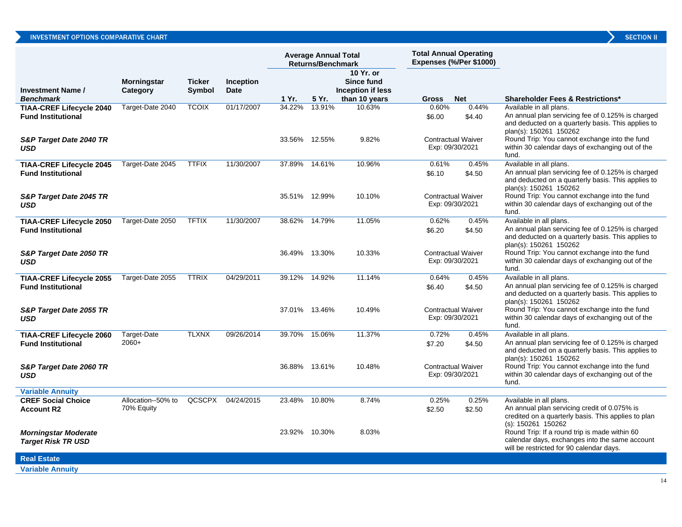| <b>SECTION I</b> |  |
|------------------|--|

|                                                              |                                  |                         |                                 | <b>Average Annual Total</b><br><b>Returns/Benchmark</b> |               |                                                               |                 | <b>Total Annual Operating</b><br>Expenses (%/Per \$1000) |                                                                                                                                                              |
|--------------------------------------------------------------|----------------------------------|-------------------------|---------------------------------|---------------------------------------------------------|---------------|---------------------------------------------------------------|-----------------|----------------------------------------------------------|--------------------------------------------------------------------------------------------------------------------------------------------------------------|
| <b>Investment Name /</b><br><b>Benchmark</b>                 | <b>Morningstar</b><br>Category   | <b>Ticker</b><br>Symbol | <b>Inception</b><br><b>Date</b> | 1 Yr.                                                   | 5 Yr.         | 10 Yr. or<br>Since fund<br>Inception if less<br>than 10 years | Gross           | <b>Net</b>                                               | <b>Shareholder Fees &amp; Restrictions*</b>                                                                                                                  |
| <b>TIAA-CREF Lifecycle 2040</b>                              | Target-Date 2040                 | <b>TCOIX</b>            | 01/17/2007                      | 34.22%                                                  | 13.91%        | 10.63%                                                        | 0.60%           | 0.44%                                                    | Available in all plans.                                                                                                                                      |
| <b>Fund Institutional</b>                                    |                                  |                         |                                 |                                                         |               |                                                               | \$6.00          | \$4.40                                                   | An annual plan servicing fee of 0.125% is charged<br>and deducted on a quarterly basis. This applies to<br>plan(s): 150261 150262                            |
| S&P Target Date 2040 TR<br><b>USD</b>                        |                                  |                         |                                 |                                                         | 33.56% 12.55% | 9.82%                                                         |                 | <b>Contractual Waiver</b><br>Exp: 09/30/2021             | Round Trip: You cannot exchange into the fund<br>within 30 calendar days of exchanging out of the<br>fund.                                                   |
| <b>TIAA-CREF Lifecycle 2045</b><br><b>Fund Institutional</b> | Target-Date 2045                 | <b>TTFIX</b>            | 11/30/2007                      | 37.89%                                                  | 14.61%        | 10.96%                                                        | 0.61%<br>\$6.10 | 0.45%<br>\$4.50                                          | Available in all plans.<br>An annual plan servicing fee of 0.125% is charged<br>and deducted on a quarterly basis. This applies to<br>plan(s): 150261 150262 |
| S&P Target Date 2045 TR<br><b>USD</b>                        |                                  |                         |                                 |                                                         | 35.51% 12.99% | 10.10%                                                        |                 | <b>Contractual Waiver</b><br>Exp: 09/30/2021             | Round Trip: You cannot exchange into the fund<br>within 30 calendar days of exchanging out of the<br>fund.                                                   |
| <b>TIAA-CREF Lifecycle 2050</b><br><b>Fund Institutional</b> | Target-Date 2050                 | <b>TFTIX</b>            | 11/30/2007                      | 38.62%                                                  | 14.79%        | 11.05%                                                        | 0.62%<br>\$6.20 | 0.45%<br>\$4.50                                          | Available in all plans.<br>An annual plan servicing fee of 0.125% is charged<br>and deducted on a quarterly basis. This applies to<br>plan(s): 150261 150262 |
| S&P Target Date 2050 TR<br><b>USD</b>                        |                                  |                         |                                 |                                                         | 36.49% 13.30% | 10.33%                                                        |                 | <b>Contractual Waiver</b><br>Exp: 09/30/2021             | Round Trip: You cannot exchange into the fund<br>within 30 calendar days of exchanging out of the<br>fund.                                                   |
| <b>TIAA-CREF Lifecycle 2055</b><br><b>Fund Institutional</b> | Target-Date 2055                 | <b>TTRIX</b>            | 04/29/2011                      | 39.12%                                                  | 14.92%        | 11.14%                                                        | 0.64%<br>\$6.40 | 0.45%<br>\$4.50                                          | Available in all plans.<br>An annual plan servicing fee of 0.125% is charged<br>and deducted on a quarterly basis. This applies to<br>plan(s): 150261 150262 |
| S&P Target Date 2055 TR<br><b>USD</b>                        |                                  |                         |                                 |                                                         | 37.01% 13.46% | 10.49%                                                        |                 | <b>Contractual Waiver</b><br>Exp: 09/30/2021             | Round Trip: You cannot exchange into the fund<br>within 30 calendar days of exchanging out of the<br>fund.                                                   |
| <b>TIAA-CREF Lifecycle 2060</b><br><b>Fund Institutional</b> | Target-Date<br>$2060+$           | <b>TLXNX</b>            | 09/26/2014                      | 39.70%                                                  | 15.06%        | 11.37%                                                        | 0.72%<br>\$7.20 | 0.45%<br>\$4.50                                          | Available in all plans.<br>An annual plan servicing fee of 0.125% is charged<br>and deducted on a quarterly basis. This applies to<br>plan(s): 150261 150262 |
| S&P Target Date 2060 TR<br><b>USD</b>                        |                                  |                         |                                 |                                                         | 36.88% 13.61% | 10.48%                                                        |                 | <b>Contractual Waiver</b><br>Exp: 09/30/2021             | Round Trip: You cannot exchange into the fund<br>within 30 calendar days of exchanging out of the<br>fund.                                                   |
| <b>Variable Annuity</b>                                      |                                  |                         |                                 |                                                         |               |                                                               |                 |                                                          |                                                                                                                                                              |
| <b>CREF Social Choice</b><br><b>Account R2</b>               | Allocation--50% to<br>70% Equity | QCSCPX                  | 04/24/2015                      | 23.48%                                                  | 10.80%        | 8.74%                                                         | 0.25%<br>\$2.50 | 0.25%<br>\$2.50                                          | Available in all plans.<br>An annual plan servicing credit of 0.075% is<br>credited on a quarterly basis. This applies to plan<br>(s): 150261 150262         |
| <b>Morningstar Moderate</b><br><b>Target Risk TR USD</b>     |                                  |                         |                                 |                                                         | 23.92% 10.30% | 8.03%                                                         |                 |                                                          | Round Trip: If a round trip is made within 60<br>calendar days, exchanges into the same account<br>will be restricted for 90 calendar days.                  |
| <b>Real Estate</b>                                           |                                  |                         |                                 |                                                         |               |                                                               |                 |                                                          |                                                                                                                                                              |
| <b>Variable Annuitv</b>                                      |                                  |                         |                                 |                                                         |               |                                                               |                 |                                                          |                                                                                                                                                              |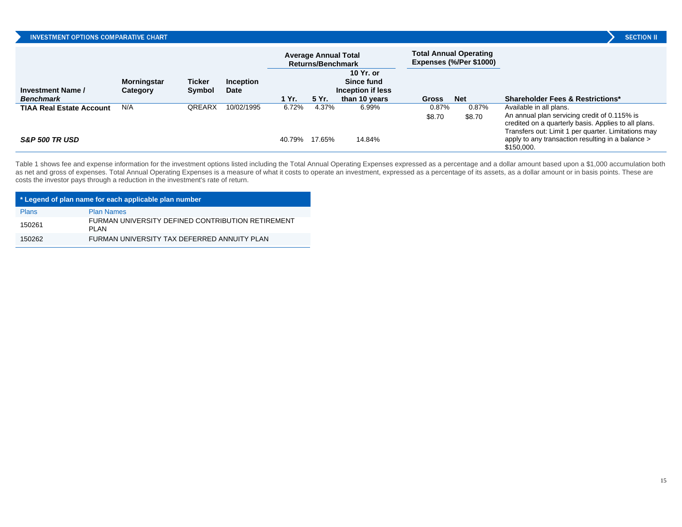|  | <b>SECTION I</b> |  |  |
|--|------------------|--|--|
|  |                  |  |  |

|                                 |                                |                         |                                 |        | <b>Average Annual Total</b><br>Returns/Benchmark |                                              |                 | <b>Total Annual Operating</b><br>Expenses (%/Per \$1000) |                                                                                                                                                                                        |
|---------------------------------|--------------------------------|-------------------------|---------------------------------|--------|--------------------------------------------------|----------------------------------------------|-----------------|----------------------------------------------------------|----------------------------------------------------------------------------------------------------------------------------------------------------------------------------------------|
| <b>Investment Name /</b>        | <b>Morningstar</b><br>Category | Ticker<br><b>Symbol</b> | <b>Inception</b><br><b>Date</b> |        |                                                  | 10 Yr. or<br>Since fund<br>Inception if less |                 |                                                          |                                                                                                                                                                                        |
| <b>Benchmark</b>                |                                |                         |                                 | 1 Yr.  | 5 Yr.                                            | than 10 years                                | <b>Gross</b>    | <b>Net</b>                                               | <b>Shareholder Fees &amp; Restrictions*</b>                                                                                                                                            |
| <b>TIAA Real Estate Account</b> | N/A                            | <b>OREARX</b>           | 10/02/1995                      | 6.72%  | 4.37%                                            | 6.99%                                        | 0.87%<br>\$8.70 | 0.87%<br>\$8.70                                          | Available in all plans.<br>An annual plan servicing credit of 0.115% is<br>credited on a quarterly basis. Applies to all plans.<br>Transfers out: Limit 1 per quarter. Limitations may |
| S&P 500 TR USD                  |                                |                         |                                 | 40.79% | 17.65%                                           | 14.84%                                       |                 |                                                          | apply to any transaction resulting in a balance ><br>\$150,000.                                                                                                                        |

Table 1 shows fee and expense information for the investment options listed including the Total Annual Operating Expenses expressed as a percentage and a dollar amount based upon a \$1,000 accumulation both as net and gross of expenses. Total Annual Operating Expenses is a measure of what it costs to operate an investment, expressed as a percentage of its assets, as a dollar amount or in basis points. These are costs the investor pays through a reduction in the investment's rate of return.

| * Legend of plan name for each applicable plan number |                                                            |  |  |  |  |  |  |  |
|-------------------------------------------------------|------------------------------------------------------------|--|--|--|--|--|--|--|
| <b>Plans</b>                                          | <b>Plan Names</b>                                          |  |  |  |  |  |  |  |
| 150261                                                | FURMAN UNIVERSITY DEFINED CONTRIBUTION RETIREMENT<br>PI AN |  |  |  |  |  |  |  |
| 150262                                                | FURMAN UNIVERSITY TAX DEFERRED ANNUITY PLAN                |  |  |  |  |  |  |  |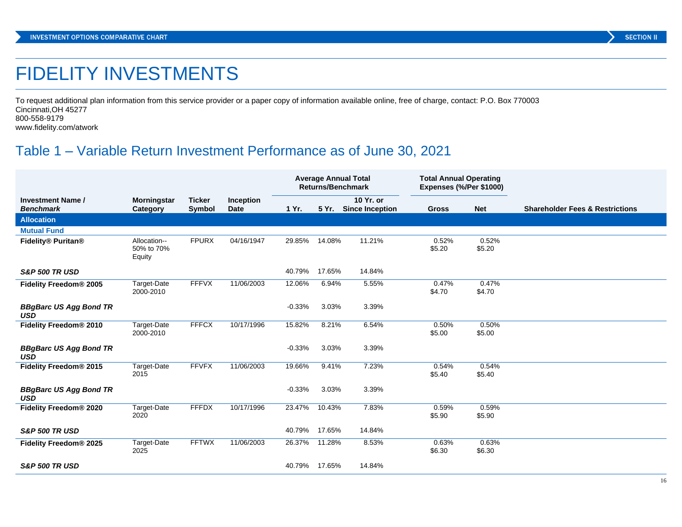# FIDELITY INVESTMENTS

To request additional plan information from this service provider or a paper copy of information available online, free of charge, contact: P.O. Box 770003 Cincinnati,OH 45277 800-558-9179

www.fidelity.com/atwork

# Table 1 – Variable Return Investment Performance as of June 30, 2021

|                                              |                                      |                         |                          |          | <b>Returns/Benchmark</b> | <b>Average Annual Total</b>         | <b>Total Annual Operating</b><br>Expenses (%/Per \$1000) |                 |                                            |
|----------------------------------------------|--------------------------------------|-------------------------|--------------------------|----------|--------------------------|-------------------------------------|----------------------------------------------------------|-----------------|--------------------------------------------|
| <b>Investment Name /</b><br><b>Benchmark</b> | <b>Morningstar</b><br>Category       | <b>Ticker</b><br>Symbol | Inception<br><b>Date</b> | 1 Yr.    | 5 Yr.                    | 10 Yr. or<br><b>Since Inception</b> | <b>Gross</b>                                             | <b>Net</b>      | <b>Shareholder Fees &amp; Restrictions</b> |
| <b>Allocation</b>                            |                                      |                         |                          |          |                          |                                     |                                                          |                 |                                            |
| <b>Mutual Fund</b>                           |                                      |                         |                          |          |                          |                                     |                                                          |                 |                                            |
| Fidelity® Puritan®                           | Allocation--<br>50% to 70%<br>Equity | <b>FPURX</b>            | 04/16/1947               | 29.85%   | 14.08%                   | 11.21%                              | 0.52%<br>\$5.20                                          | 0.52%<br>\$5.20 |                                            |
| <b>S&amp;P 500 TR USD</b>                    |                                      |                         |                          | 40.79%   | 17.65%                   | 14.84%                              |                                                          |                 |                                            |
| Fidelity Freedom <sup>®</sup> 2005           | Target-Date<br>2000-2010             | <b>FFFVX</b>            | 11/06/2003               | 12.06%   | 6.94%                    | 5.55%                               | 0.47%<br>\$4.70                                          | 0.47%<br>\$4.70 |                                            |
| <b>BBgBarc US Agg Bond TR</b><br><b>USD</b>  |                                      |                         |                          | $-0.33%$ | 3.03%                    | 3.39%                               |                                                          |                 |                                            |
| Fidelity Freedom <sup>®</sup> 2010           | Target-Date<br>2000-2010             | <b>FFFCX</b>            | 10/17/1996               | 15.82%   | 8.21%                    | 6.54%                               | 0.50%<br>\$5.00                                          | 0.50%<br>\$5.00 |                                            |
| <b>BBgBarc US Agg Bond TR</b><br><b>USD</b>  |                                      |                         |                          | $-0.33%$ | 3.03%                    | 3.39%                               |                                                          |                 |                                            |
| Fidelity Freedom <sup>®</sup> 2015           | Target-Date<br>2015                  | <b>FFVFX</b>            | 11/06/2003               | 19.66%   | 9.41%                    | 7.23%                               | 0.54%<br>\$5.40                                          | 0.54%<br>\$5.40 |                                            |
| <b>BBgBarc US Agg Bond TR</b><br><b>USD</b>  |                                      |                         |                          | $-0.33%$ | 3.03%                    | 3.39%                               |                                                          |                 |                                            |
| Fidelity Freedom <sup>®</sup> 2020           | Target-Date<br>2020                  | <b>FFFDX</b>            | 10/17/1996               | 23.47%   | 10.43%                   | 7.83%                               | 0.59%<br>\$5.90                                          | 0.59%<br>\$5.90 |                                            |
| <b>S&amp;P 500 TR USD</b>                    |                                      |                         |                          | 40.79%   | 17.65%                   | 14.84%                              |                                                          |                 |                                            |
| Fidelity Freedom <sup>®</sup> 2025           | Target-Date<br>2025                  | <b>FFTWX</b>            | 11/06/2003               | 26.37%   | 11.28%                   | 8.53%                               | 0.63%<br>\$6.30                                          | 0.63%<br>\$6.30 |                                            |
| <b>S&amp;P 500 TR USD</b>                    |                                      |                         |                          | 40.79%   | 17.65%                   | 14.84%                              |                                                          |                 |                                            |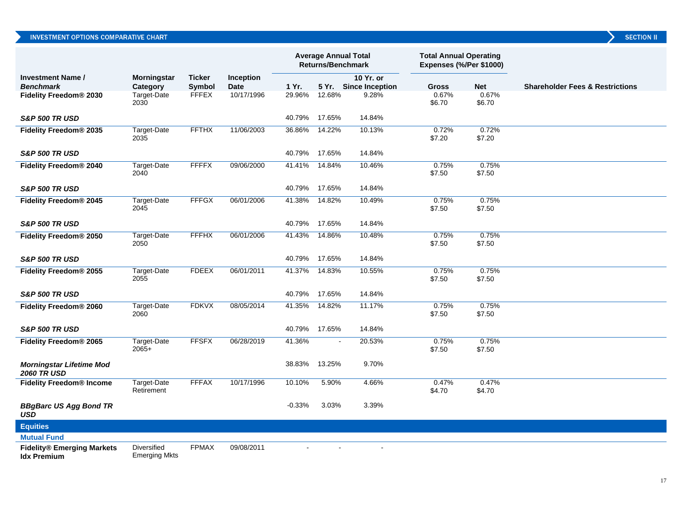|                                                         |                                            |               |                  |          | <b>Average Annual Total</b><br><b>Returns/Benchmark</b> |                       | <b>Total Annual Operating</b><br>Expenses (%/Per \$1000) |                 |                                            |
|---------------------------------------------------------|--------------------------------------------|---------------|------------------|----------|---------------------------------------------------------|-----------------------|----------------------------------------------------------|-----------------|--------------------------------------------|
| <b>Investment Name /</b>                                | Morningstar                                | <b>Ticker</b> | <b>Inception</b> |          |                                                         | 10 Yr. or             |                                                          |                 |                                            |
| <b>Benchmark</b>                                        | Category                                   | Symbol        | <b>Date</b>      | 1 Yr.    |                                                         | 5 Yr. Since Inception | <b>Gross</b>                                             | <b>Net</b>      | <b>Shareholder Fees &amp; Restrictions</b> |
| Fidelity Freedom® 2030                                  | Target-Date<br>2030                        | <b>FFFEX</b>  | 10/17/1996       | 29.96%   | 12.68%                                                  | 9.28%                 | 0.67%<br>\$6.70                                          | 0.67%<br>\$6.70 |                                            |
| <b>S&amp;P 500 TR USD</b>                               |                                            |               |                  | 40.79%   | 17.65%                                                  | 14.84%                |                                                          |                 |                                            |
| Fidelity Freedom <sup>®</sup> 2035                      | Target-Date<br>2035                        | <b>FFTHX</b>  | 11/06/2003       | 36.86%   | 14.22%                                                  | 10.13%                | 0.72%<br>\$7.20                                          | 0.72%<br>\$7.20 |                                            |
| <b>S&amp;P 500 TR USD</b>                               |                                            |               |                  | 40.79%   | 17.65%                                                  | 14.84%                |                                                          |                 |                                            |
| Fidelity Freedom <sup>®</sup> 2040                      | Target-Date<br>2040                        | <b>FFFFX</b>  | 09/06/2000       | 41.41%   | 14.84%                                                  | 10.46%                | 0.75%<br>\$7.50                                          | 0.75%<br>\$7.50 |                                            |
| <b>S&amp;P 500 TR USD</b>                               |                                            |               |                  | 40.79%   | 17.65%                                                  | 14.84%                |                                                          |                 |                                            |
| Fidelity Freedom <sup>®</sup> 2045                      | Target-Date<br>2045                        | <b>FFFGX</b>  | 06/01/2006       | 41.38%   | 14.82%                                                  | 10.49%                | 0.75%<br>\$7.50                                          | 0.75%<br>\$7.50 |                                            |
| <b>S&amp;P 500 TR USD</b>                               |                                            |               |                  | 40.79%   | 17.65%                                                  | 14.84%                |                                                          |                 |                                            |
| Fidelity Freedom <sup>®</sup> 2050                      | Target-Date<br>2050                        | <b>FFFHX</b>  | 06/01/2006       | 41.43%   | 14.86%                                                  | 10.48%                | 0.75%<br>\$7.50                                          | 0.75%<br>\$7.50 |                                            |
| <b>S&amp;P 500 TR USD</b>                               |                                            |               |                  | 40.79%   | 17.65%                                                  | 14.84%                |                                                          |                 |                                            |
| Fidelity Freedom <sup>®</sup> 2055                      | Target-Date<br>2055                        | <b>FDEEX</b>  | 06/01/2011       | 41.37%   | 14.83%                                                  | 10.55%                | 0.75%<br>\$7.50                                          | 0.75%<br>\$7.50 |                                            |
| <b>S&amp;P 500 TR USD</b>                               |                                            |               |                  | 40.79%   | 17.65%                                                  | 14.84%                |                                                          |                 |                                            |
| Fidelity Freedom <sup>®</sup> 2060                      | Target-Date<br>2060                        | <b>FDKVX</b>  | 08/05/2014       | 41.35%   | 14.82%                                                  | 11.17%                | 0.75%<br>\$7.50                                          | 0.75%<br>\$7.50 |                                            |
| <b>S&amp;P 500 TR USD</b>                               |                                            |               |                  | 40.79%   | 17.65%                                                  | 14.84%                |                                                          |                 |                                            |
| Fidelity Freedom <sup>®</sup> 2065                      | Target-Date<br>$2065+$                     | <b>FFSFX</b>  | 06/28/2019       | 41.36%   | $\overline{\phantom{a}}$                                | 20.53%                | 0.75%<br>\$7.50                                          | 0.75%<br>\$7.50 |                                            |
| <b>Morningstar Lifetime Mod</b><br><b>2060 TR USD</b>   |                                            |               |                  | 38.83%   | 13.25%                                                  | 9.70%                 |                                                          |                 |                                            |
| <b>Fidelity Freedom® Income</b>                         | Target-Date<br>Retirement                  | <b>FFFAX</b>  | 10/17/1996       | 10.10%   | 5.90%                                                   | 4.66%                 | 0.47%<br>\$4.70                                          | 0.47%<br>\$4.70 |                                            |
| <b>BBgBarc US Agg Bond TR</b><br>USD                    |                                            |               |                  | $-0.33%$ | 3.03%                                                   | 3.39%                 |                                                          |                 |                                            |
| <b>Equities</b>                                         |                                            |               |                  |          |                                                         |                       |                                                          |                 |                                            |
| <b>Mutual Fund</b>                                      |                                            |               |                  |          |                                                         |                       |                                                          |                 |                                            |
| <b>Fidelity® Emerging Markets</b><br><b>Idx Premium</b> | <b>Diversified</b><br><b>Emerging Mkts</b> | <b>FPMAX</b>  | 09/08/2011       |          |                                                         | $\sim$                |                                                          |                 |                                            |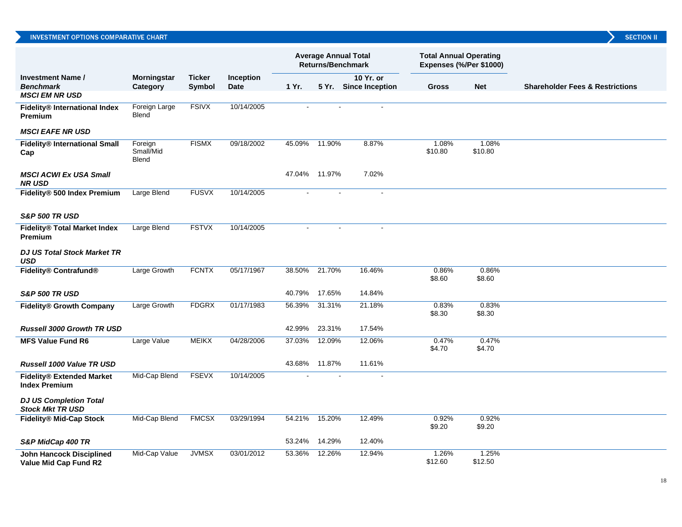|                                                          |                                      |                         |                   |        | <b>Returns/Benchmark</b> | <b>Average Annual Total</b>        | <b>Total Annual Operating</b><br>Expenses (%/Per \$1000) |                  |                                            |
|----------------------------------------------------------|--------------------------------------|-------------------------|-------------------|--------|--------------------------|------------------------------------|----------------------------------------------------------|------------------|--------------------------------------------|
| <b>Investment Name /</b><br><b>Benchmark</b>             | Morningstar<br>Category              | <b>Ticker</b><br>Symbol | Inception<br>Date | 1 Yr.  |                          | 10 Yr. or<br>5 Yr. Since Inception | <b>Gross</b>                                             | <b>Net</b>       | <b>Shareholder Fees &amp; Restrictions</b> |
| <b>MSCI EM NR USD</b>                                    |                                      |                         |                   |        |                          |                                    |                                                          |                  |                                            |
| Fidelity® International Index<br>Premium                 | <b>Foreign Large</b><br><b>Blend</b> | <b>FSIVX</b>            | 10/14/2005        |        |                          |                                    |                                                          |                  |                                            |
| <b>MSCI EAFE NR USD</b>                                  |                                      |                         |                   |        |                          |                                    |                                                          |                  |                                            |
| <b>Fidelity® International Small</b><br>Cap              | Foreign<br>Small/Mid<br><b>Blend</b> | <b>FISMX</b>            | 09/18/2002        | 45.09% | 11.90%                   | 8.87%                              | 1.08%<br>\$10.80                                         | 1.08%<br>\$10.80 |                                            |
| <b>MSCI ACWI Ex USA Small</b><br><b>NR USD</b>           |                                      |                         |                   | 47.04% | 11.97%                   | 7.02%                              |                                                          |                  |                                            |
| Fidelity® 500 Index Premium                              | Large Blend                          | <b>FUSVX</b>            | 10/14/2005        |        |                          |                                    |                                                          |                  |                                            |
| <b>S&amp;P 500 TR USD</b>                                |                                      |                         |                   |        |                          |                                    |                                                          |                  |                                            |
| <b>Fidelity® Total Market Index</b><br>Premium           | Large Blend                          | <b>FSTVX</b>            | 10/14/2005        |        |                          |                                    |                                                          |                  |                                            |
| <b>DJ US Total Stock Market TR</b><br><b>USD</b>         |                                      |                         |                   |        |                          |                                    |                                                          |                  |                                            |
| Fidelity® Contrafund®                                    | <b>Large Growth</b>                  | <b>FCNTX</b>            | 05/17/1967        | 38.50% | 21.70%                   | 16.46%                             | 0.86%<br>\$8.60                                          | 0.86%<br>\$8.60  |                                            |
| <b>S&amp;P 500 TR USD</b>                                |                                      |                         |                   | 40.79% | 17.65%                   | 14.84%                             |                                                          |                  |                                            |
| <b>Fidelity® Growth Company</b>                          | <b>Large Growth</b>                  | <b>FDGRX</b>            | 01/17/1983        | 56.39% | 31.31%                   | 21.18%                             | 0.83%<br>\$8.30                                          | 0.83%<br>\$8.30  |                                            |
| <b>Russell 3000 Growth TR USD</b>                        |                                      |                         |                   | 42.99% | 23.31%                   | 17.54%                             |                                                          |                  |                                            |
| <b>MFS Value Fund R6</b>                                 | Large Value                          | <b>MEIKX</b>            | 04/28/2006        | 37.03% | 12.09%                   | 12.06%                             | 0.47%<br>\$4.70                                          | 0.47%<br>\$4.70  |                                            |
| Russell 1000 Value TR USD                                |                                      |                         |                   | 43.68% | 11.87%                   | 11.61%                             |                                                          |                  |                                            |
| <b>Fidelity® Extended Market</b><br><b>Index Premium</b> | Mid-Cap Blend                        | <b>FSEVX</b>            | 10/14/2005        |        |                          |                                    |                                                          |                  |                                            |
| <b>DJ US Completion Total</b><br><b>Stock Mkt TR USD</b> |                                      |                         |                   |        |                          |                                    |                                                          |                  |                                            |
| <b>Fidelity® Mid-Cap Stock</b>                           | Mid-Cap Blend                        | <b>FMCSX</b>            | 03/29/1994        | 54.21% | 15.20%                   | 12.49%                             | 0.92%<br>\$9.20                                          | 0.92%<br>\$9.20  |                                            |
| S&P MidCap 400 TR                                        |                                      |                         |                   | 53.24% | 14.29%                   | 12.40%                             |                                                          |                  |                                            |
| <b>John Hancock Disciplined</b><br>Value Mid Cap Fund R2 | Mid-Cap Value                        | <b>JVMSX</b>            | 03/01/2012        | 53.36% | 12.26%                   | 12.94%                             | 1.26%<br>\$12.60                                         | 1.25%<br>\$12.50 |                                            |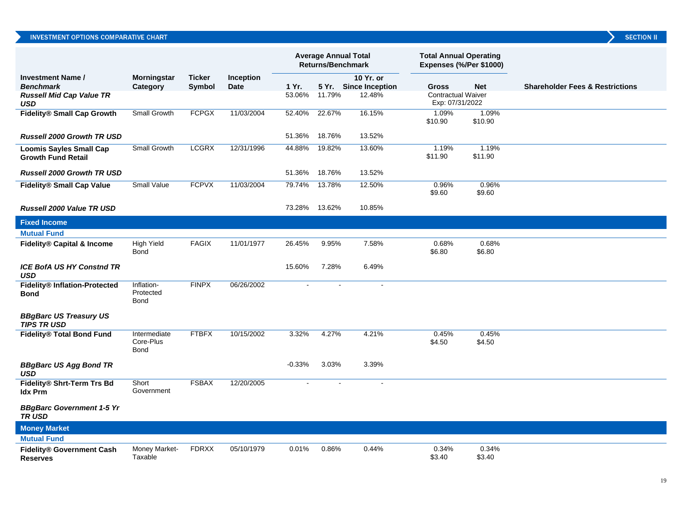|                                                             |                                          |                         |                          |          | <b>Returns/Benchmark</b> | <b>Average Annual Total</b>        | <b>Total Annual Operating</b><br>Expenses (%/Per \$1000) |                  |                                            |
|-------------------------------------------------------------|------------------------------------------|-------------------------|--------------------------|----------|--------------------------|------------------------------------|----------------------------------------------------------|------------------|--------------------------------------------|
| <b>Investment Name /</b><br><b>Benchmark</b>                | Morningstar<br>Category                  | <b>Ticker</b><br>Symbol | Inception<br><b>Date</b> | 1 Yr.    |                          | 10 Yr. or<br>5 Yr. Since Inception | <b>Gross</b>                                             | <b>Net</b>       | <b>Shareholder Fees &amp; Restrictions</b> |
| <b>Russell Mid Cap Value TR</b><br>USD                      |                                          |                         |                          | 53.06%   | 11.79%                   | 12.48%                             | <b>Contractual Waiver</b><br>Exp: 07/31/2022             |                  |                                            |
| Fidelity® Small Cap Growth                                  | Small Growth                             | <b>FCPGX</b>            | 11/03/2004               | 52.40%   | 22.67%                   | 16.15%                             | 1.09%<br>\$10.90                                         | 1.09%<br>\$10.90 |                                            |
| <b>Russell 2000 Growth TR USD</b>                           |                                          |                         |                          | 51.36%   | 18.76%                   | 13.52%                             |                                                          |                  |                                            |
| <b>Loomis Sayles Small Cap</b><br><b>Growth Fund Retail</b> | Small Growth                             | <b>LCGRX</b>            | 12/31/1996               | 44.88%   | 19.82%                   | 13.60%                             | 1.19%<br>\$11.90                                         | 1.19%<br>\$11.90 |                                            |
| <b>Russell 2000 Growth TR USD</b>                           |                                          |                         |                          | 51.36%   | 18.76%                   | 13.52%                             |                                                          |                  |                                            |
| <b>Fidelity® Small Cap Value</b>                            | <b>Small Value</b>                       | <b>FCPVX</b>            | 11/03/2004               | 79.74%   | 13.78%                   | 12.50%                             | 0.96%<br>\$9.60                                          | 0.96%<br>\$9.60  |                                            |
| Russell 2000 Value TR USD                                   |                                          |                         |                          | 73.28%   | 13.62%                   | 10.85%                             |                                                          |                  |                                            |
| <b>Fixed Income</b>                                         |                                          |                         |                          |          |                          |                                    |                                                          |                  |                                            |
| <b>Mutual Fund</b>                                          |                                          |                         |                          |          |                          |                                    |                                                          |                  |                                            |
| Fidelity® Capital & Income                                  | <b>High Yield</b><br>Bond                | <b>FAGIX</b>            | 11/01/1977               | 26.45%   | 9.95%                    | 7.58%                              | 0.68%<br>\$6.80                                          | 0.68%<br>\$6.80  |                                            |
| <b>ICE BofA US HY Constnd TR</b><br>USD                     |                                          |                         |                          | 15.60%   | 7.28%                    | 6.49%                              |                                                          |                  |                                            |
| Fidelity® Inflation-Protected<br><b>Bond</b>                | Inflation-<br>Protected<br><b>Bond</b>   | <b>FINPX</b>            | 06/26/2002               |          |                          |                                    |                                                          |                  |                                            |
| <b>BBgBarc US Treasury US</b><br><b>TIPS TRUSD</b>          |                                          |                         |                          |          |                          |                                    |                                                          |                  |                                            |
| Fidelity® Total Bond Fund                                   | Intermediate<br>Core-Plus<br><b>Bond</b> | <b>FTBFX</b>            | 10/15/2002               | 3.32%    | 4.27%                    | 4.21%                              | 0.45%<br>\$4.50                                          | 0.45%<br>\$4.50  |                                            |
| <b>BBgBarc US Agg Bond TR</b><br><b>USD</b>                 |                                          |                         |                          | $-0.33%$ | 3.03%                    | 3.39%                              |                                                          |                  |                                            |
| Fidelity® Shrt-Term Trs Bd<br><b>Idx Prm</b>                | Short<br>Government                      | <b>FSBAX</b>            | 12/20/2005               |          |                          | $\sim$                             |                                                          |                  |                                            |
| <b>BBgBarc Government 1-5 Yr</b><br><b>TRUSD</b>            |                                          |                         |                          |          |                          |                                    |                                                          |                  |                                            |
| <b>Money Market</b>                                         |                                          |                         |                          |          |                          |                                    |                                                          |                  |                                            |
| <b>Mutual Fund</b>                                          |                                          |                         |                          |          |                          |                                    |                                                          |                  |                                            |
| <b>Fidelity® Government Cash</b><br><b>Reserves</b>         | Money Market-<br>Taxable                 | <b>FDRXX</b>            | 05/10/1979               | 0.01%    | 0.86%                    | 0.44%                              | 0.34%<br>\$3.40                                          | 0.34%<br>\$3.40  |                                            |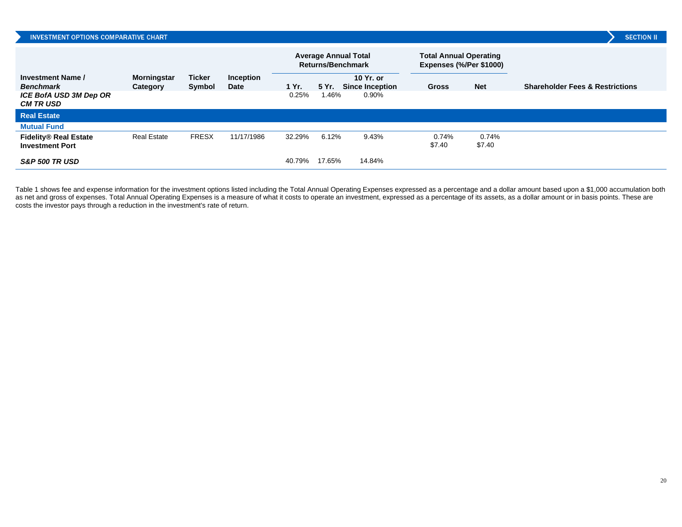| <b>INVESTMENT OPTIONS COMPARATIVE CHART</b>            |                         |                         |                          |        |        |                                                         |                                                          |                 | <b>SECTION II</b>                          |
|--------------------------------------------------------|-------------------------|-------------------------|--------------------------|--------|--------|---------------------------------------------------------|----------------------------------------------------------|-----------------|--------------------------------------------|
|                                                        |                         |                         |                          |        |        | <b>Average Annual Total</b><br><b>Returns/Benchmark</b> | <b>Total Annual Operating</b><br>Expenses (%/Per \$1000) |                 |                                            |
| <b>Investment Name /</b><br><b>Benchmark</b>           | Morningstar<br>Category | <b>Ticker</b><br>Symbol | <b>Inception</b><br>Date | 1 Yr.  | 5 Yr.  | 10 Yr. or<br><b>Since Inception</b>                     | <b>Gross</b>                                             | <b>Net</b>      | <b>Shareholder Fees &amp; Restrictions</b> |
| <b>ICE BofA USD 3M Dep OR</b><br><b>CM TR USD</b>      |                         |                         |                          | 0.25%  | 1.46%  | 0.90%                                                   |                                                          |                 |                                            |
| <b>Real Estate</b>                                     |                         |                         |                          |        |        |                                                         |                                                          |                 |                                            |
| <b>Mutual Fund</b>                                     |                         |                         |                          |        |        |                                                         |                                                          |                 |                                            |
| <b>Fidelity® Real Estate</b><br><b>Investment Port</b> | <b>Real Estate</b>      | <b>FRESX</b>            | 11/17/1986               | 32.29% | 6.12%  | 9.43%                                                   | 0.74%<br>\$7.40                                          | 0.74%<br>\$7.40 |                                            |
| <b>S&amp;P 500 TR USD</b>                              |                         |                         |                          | 40.79% | 17.65% | 14.84%                                                  |                                                          |                 |                                            |

Table 1 shows fee and expense information for the investment options listed including the Total Annual Operating Expenses expressed as a percentage and a dollar amount based upon a \$1,000 accumulation both as net and gross of expenses. Total Annual Operating Expenses is a measure of what it costs to operate an investment, expressed as a percentage of its assets, as a dollar amount or in basis points. These are costs the investor pays through a reduction in the investment's rate of return.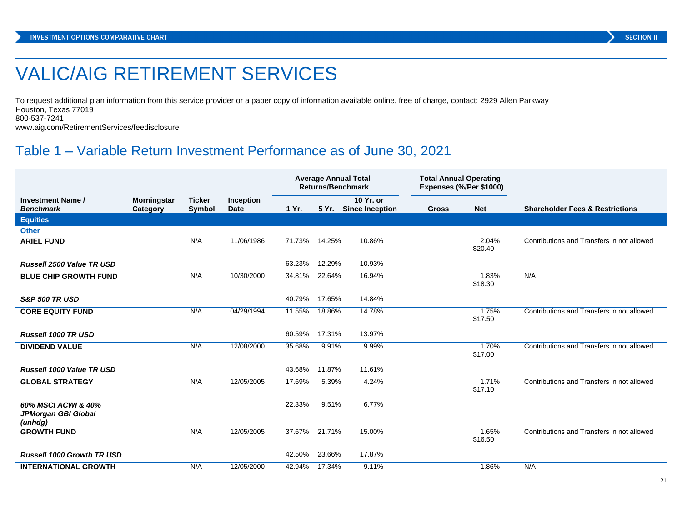# VALIC/AIG RETIREMENT SERVICES

To request additional plan information from this service provider or a paper copy of information available online, free of charge, contact: 2929 Allen Parkway Houston, Texas 77019 800-537-7241

www.aig.com/RetirementServices/feedisclosure

# Table 1 – Variable Return Investment Performance as of June 30, 2021

|                                                       |                                |                         |                                 | <b>Average Annual Total</b><br><b>Returns/Benchmark</b> |        | <b>Total Annual Operating</b><br>Expenses (%/Per \$1000) |              |                  |                                            |
|-------------------------------------------------------|--------------------------------|-------------------------|---------------------------------|---------------------------------------------------------|--------|----------------------------------------------------------|--------------|------------------|--------------------------------------------|
| <b>Investment Name /</b><br><b>Benchmark</b>          | <b>Morningstar</b><br>Category | <b>Ticker</b><br>Symbol | <b>Inception</b><br><b>Date</b> | 1 Yr.                                                   |        | 10 Yr. or<br>5 Yr. Since Inception                       | <b>Gross</b> | <b>Net</b>       | <b>Shareholder Fees &amp; Restrictions</b> |
| <b>Equities</b>                                       |                                |                         |                                 |                                                         |        |                                                          |              |                  |                                            |
| <b>Other</b>                                          |                                |                         |                                 |                                                         |        |                                                          |              |                  |                                            |
| <b>ARIEL FUND</b>                                     |                                | N/A                     | 11/06/1986                      | 71.73% 14.25%                                           |        | 10.86%                                                   |              | 2.04%<br>\$20.40 | Contributions and Transfers in not allowed |
| Russell 2500 Value TR USD                             |                                |                         |                                 | 63.23%                                                  | 12.29% | 10.93%                                                   |              |                  |                                            |
| <b>BLUE CHIP GROWTH FUND</b>                          |                                | N/A                     | 10/30/2000                      | 34.81%                                                  | 22.64% | 16.94%                                                   |              | 1.83%<br>\$18.30 | N/A                                        |
| <b>S&amp;P 500 TR USD</b>                             |                                |                         |                                 | 40.79%                                                  | 17.65% | 14.84%                                                   |              |                  |                                            |
| <b>CORE EQUITY FUND</b>                               |                                | N/A                     | 04/29/1994                      | 11.55%                                                  | 18.86% | 14.78%                                                   |              | 1.75%<br>\$17.50 | Contributions and Transfers in not allowed |
| <b>Russell 1000 TR USD</b>                            |                                |                         |                                 | 60.59%                                                  | 17.31% | 13.97%                                                   |              |                  |                                            |
| <b>DIVIDEND VALUE</b>                                 |                                | N/A                     | 12/08/2000                      | 35.68%                                                  | 9.91%  | 9.99%                                                    |              | 1.70%<br>\$17.00 | Contributions and Transfers in not allowed |
| Russell 1000 Value TR USD                             |                                |                         |                                 | 43.68%                                                  | 11.87% | 11.61%                                                   |              |                  |                                            |
| <b>GLOBAL STRATEGY</b>                                |                                | N/A                     | 12/05/2005                      | 17.69%                                                  | 5.39%  | 4.24%                                                    |              | 1.71%<br>\$17.10 | Contributions and Transfers in not allowed |
| 60% MSCI ACWI & 40%<br>JPMorgan GBI Global<br>(unhdg) |                                |                         |                                 | 22.33%                                                  | 9.51%  | 6.77%                                                    |              |                  |                                            |
| <b>GROWTH FUND</b>                                    |                                | N/A                     | 12/05/2005                      | 37.67%                                                  | 21.71% | 15.00%                                                   |              | 1.65%<br>\$16.50 | Contributions and Transfers in not allowed |
| <b>Russell 1000 Growth TR USD</b>                     |                                |                         |                                 | 42.50%                                                  | 23.66% | 17.87%                                                   |              |                  |                                            |
| <b>INTERNATIONAL GROWTH</b>                           |                                | N/A                     | 12/05/2000                      | 42.94%                                                  | 17.34% | 9.11%                                                    |              | 1.86%            | N/A                                        |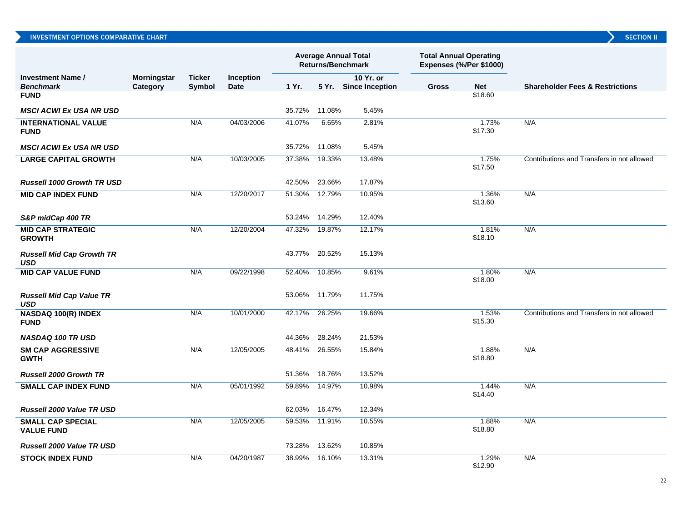|                                                |                                |                         |                          | <b>Average Annual Total</b><br><b>Returns/Benchmark</b> |        | <b>Total Annual Operating</b><br>Expenses (%/Per \$1000) |              |                  |                                            |
|------------------------------------------------|--------------------------------|-------------------------|--------------------------|---------------------------------------------------------|--------|----------------------------------------------------------|--------------|------------------|--------------------------------------------|
| <b>Investment Name /</b><br><b>Benchmark</b>   | <b>Morningstar</b><br>Category | <b>Ticker</b><br>Symbol | Inception<br><b>Date</b> | 1 Yr.                                                   |        | 10 Yr. or<br>5 Yr. Since Inception                       | <b>Gross</b> | <b>Net</b>       | <b>Shareholder Fees &amp; Restrictions</b> |
| <b>FUND</b>                                    |                                |                         |                          |                                                         |        |                                                          |              | \$18.60          |                                            |
| <b>MSCI ACWI Ex USA NR USD</b>                 |                                |                         |                          | 35.72%                                                  | 11.08% | 5.45%                                                    |              |                  |                                            |
| <b>INTERNATIONAL VALUE</b><br><b>FUND</b>      |                                | N/A                     | 04/03/2006               | 41.07%                                                  | 6.65%  | 2.81%                                                    |              | 1.73%<br>\$17.30 | N/A                                        |
| <b>MSCI ACWI Ex USA NR USD</b>                 |                                |                         |                          | 35.72%                                                  | 11.08% | 5.45%                                                    |              |                  |                                            |
| <b>LARGE CAPITAL GROWTH</b>                    |                                | N/A                     | 10/03/2005               | 37.38%                                                  | 19.33% | 13.48%                                                   |              | 1.75%<br>\$17.50 | Contributions and Transfers in not allowed |
| <b>Russell 1000 Growth TR USD</b>              |                                |                         |                          | 42.50%                                                  | 23.66% | 17.87%                                                   |              |                  |                                            |
| <b>MID CAP INDEX FUND</b>                      |                                | N/A                     | 12/20/2017               | 51.30%                                                  | 12.79% | 10.95%                                                   |              | 1.36%<br>\$13.60 | N/A                                        |
| S&P midCap 400 TR                              |                                |                         |                          | 53.24%                                                  | 14.29% | 12.40%                                                   |              |                  |                                            |
| <b>MID CAP STRATEGIC</b><br><b>GROWTH</b>      |                                | N/A                     | 12/20/2004               | 47.32%                                                  | 19.87% | 12.17%                                                   |              | 1.81%<br>\$18.10 | N/A                                        |
| <b>Russell Mid Cap Growth TR</b><br><b>USD</b> |                                |                         |                          | 43.77%                                                  | 20.52% | 15.13%                                                   |              |                  |                                            |
| <b>MID CAP VALUE FUND</b>                      |                                | N/A                     | 09/22/1998               | 52.40%                                                  | 10.85% | 9.61%                                                    |              | 1.80%<br>\$18.00 | N/A                                        |
| <b>Russell Mid Cap Value TR</b><br><b>USD</b>  |                                |                         |                          | 53.06%                                                  | 11.79% | 11.75%                                                   |              |                  |                                            |
| NASDAQ 100(R) INDEX<br><b>FUND</b>             |                                | N/A                     | 10/01/2000               | 42.17%                                                  | 26.25% | 19.66%                                                   |              | 1.53%<br>\$15.30 | Contributions and Transfers in not allowed |
| <b>NASDAQ 100 TR USD</b>                       |                                |                         |                          | 44.36%                                                  | 28.24% | 21.53%                                                   |              |                  |                                            |
| <b>SM CAP AGGRESSIVE</b><br><b>GWTH</b>        |                                | N/A                     | 12/05/2005               | 48.41%                                                  | 26.55% | 15.84%                                                   |              | 1.88%<br>\$18.80 | N/A                                        |
| <b>Russell 2000 Growth TR</b>                  |                                |                         |                          | 51.36%                                                  | 18.76% | 13.52%                                                   |              |                  |                                            |
| <b>SMALL CAP INDEX FUND</b>                    |                                | N/A                     | 05/01/1992               | 59.89%                                                  | 14.97% | 10.98%                                                   |              | 1.44%<br>\$14.40 | N/A                                        |
| <b>Russell 2000 Value TR USD</b>               |                                |                         |                          | 62.03%                                                  | 16.47% | 12.34%                                                   |              |                  |                                            |
| <b>SMALL CAP SPECIAL</b><br><b>VALUE FUND</b>  |                                | N/A                     | 12/05/2005               | 59.53%                                                  | 11.91% | 10.55%                                                   |              | 1.88%<br>\$18.80 | N/A                                        |
| <b>Russell 2000 Value TR USD</b>               |                                |                         |                          | 73.28%                                                  | 13.62% | 10.85%                                                   |              |                  |                                            |
| <b>STOCK INDEX FUND</b>                        |                                | N/A                     | 04/20/1987               | 38.99%                                                  | 16.10% | 13.31%                                                   |              | 1.29%<br>\$12.90 | N/A                                        |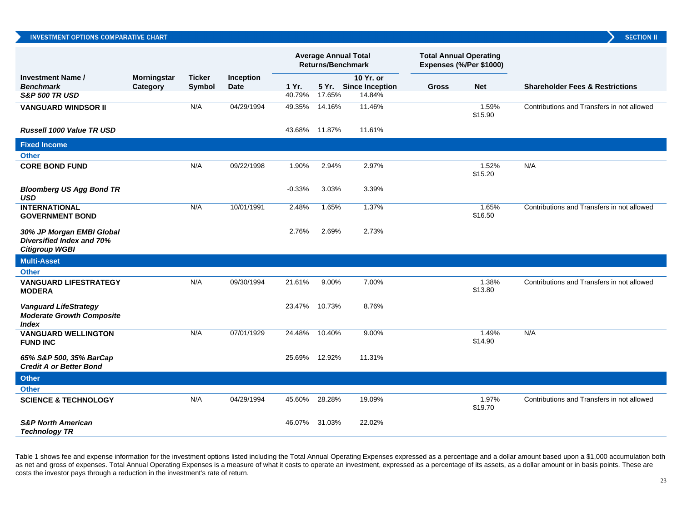|  | INVESTMENT OPTIONS COMPARATIVE CHART |  |
|--|--------------------------------------|--|
|  |                                      |  |

|                                                                                         |                                |                         |                          | <b>Average Annual Total</b><br><b>Returns/Benchmark</b> |               | <b>Total Annual Operating</b><br>Expenses (%/Per \$1000) |              |                  |                                            |
|-----------------------------------------------------------------------------------------|--------------------------------|-------------------------|--------------------------|---------------------------------------------------------|---------------|----------------------------------------------------------|--------------|------------------|--------------------------------------------|
| <b>Investment Name /</b><br><b>Benchmark</b>                                            | <b>Morningstar</b><br>Category | <b>Ticker</b><br>Symbol | Inception<br><b>Date</b> | 1 Yr.                                                   |               | 10 Yr. or<br>5 Yr. Since Inception                       | <b>Gross</b> | <b>Net</b>       | <b>Shareholder Fees &amp; Restrictions</b> |
| <b>S&amp;P 500 TR USD</b>                                                               |                                |                         |                          | 40.79%                                                  | 17.65%        | 14.84%                                                   |              |                  |                                            |
| <b>VANGUARD WINDSOR II</b>                                                              |                                | N/A                     | 04/29/1994               | 49.35%                                                  | 14.16%        | 11.46%                                                   |              | 1.59%<br>\$15.90 | Contributions and Transfers in not allowed |
| <b>Russell 1000 Value TR USD</b>                                                        |                                |                         |                          |                                                         | 43.68% 11.87% | 11.61%                                                   |              |                  |                                            |
| <b>Fixed Income</b>                                                                     |                                |                         |                          |                                                         |               |                                                          |              |                  |                                            |
| <b>Other</b>                                                                            |                                |                         |                          |                                                         |               |                                                          |              |                  |                                            |
| <b>CORE BOND FUND</b>                                                                   |                                | N/A                     | 09/22/1998               | 1.90%                                                   | 2.94%         | 2.97%                                                    |              | 1.52%<br>\$15.20 | N/A                                        |
| <b>Bloomberg US Agg Bond TR</b><br><b>USD</b>                                           |                                |                         |                          | $-0.33%$                                                | 3.03%         | 3.39%                                                    |              |                  |                                            |
| <b>INTERNATIONAL</b><br><b>GOVERNMENT BOND</b>                                          |                                | N/A                     | 10/01/1991               | 2.48%                                                   | 1.65%         | 1.37%                                                    |              | 1.65%<br>\$16.50 | Contributions and Transfers in not allowed |
| 30% JP Morgan EMBI Global<br>Diversified Index and 70%<br><b>Citigroup WGBI</b>         |                                |                         |                          | 2.76%                                                   | 2.69%         | 2.73%                                                    |              |                  |                                            |
| <b>Multi-Asset</b>                                                                      |                                |                         |                          |                                                         |               |                                                          |              |                  |                                            |
| <b>Other</b>                                                                            |                                |                         |                          |                                                         |               |                                                          |              |                  |                                            |
| <b>VANGUARD LIFESTRATEGY</b><br><b>MODERA</b>                                           |                                | N/A                     | 09/30/1994               | 21.61%                                                  | 9.00%         | 7.00%                                                    |              | 1.38%<br>\$13.80 | Contributions and Transfers in not allowed |
| <b>Vanguard LifeStrategy</b><br><b>Moderate Growth Composite</b><br><i><b>Index</b></i> |                                |                         |                          | 23.47%                                                  | 10.73%        | 8.76%                                                    |              |                  |                                            |
| <b>VANGUARD WELLINGTON</b><br><b>FUND INC</b>                                           |                                | N/A                     | 07/01/1929               | 24.48%                                                  | 10.40%        | 9.00%                                                    |              | 1.49%<br>\$14.90 | N/A                                        |
| 65% S&P 500, 35% BarCap<br><b>Credit A or Better Bond</b>                               |                                |                         |                          | 25.69% 12.92%                                           |               | 11.31%                                                   |              |                  |                                            |
| <b>Other</b>                                                                            |                                |                         |                          |                                                         |               |                                                          |              |                  |                                            |
| <b>Other</b>                                                                            |                                |                         |                          |                                                         |               |                                                          |              |                  |                                            |
| <b>SCIENCE &amp; TECHNOLOGY</b>                                                         |                                | N/A                     | 04/29/1994               | 45.60%                                                  | 28.28%        | 19.09%                                                   |              | 1.97%<br>\$19.70 | Contributions and Transfers in not allowed |
| <b>S&amp;P North American</b><br><b>Technology TR</b>                                   |                                |                         |                          | 46.07%                                                  | 31.03%        | 22.02%                                                   |              |                  |                                            |

Table 1 shows fee and expense information for the investment options listed including the Total Annual Operating Expenses expressed as a percentage and a dollar amount based upon a \$1,000 accumulation both as net and gross of expenses. Total Annual Operating Expenses is a measure of what it costs to operate an investment, expressed as a percentage of its assets, as a dollar amount or in basis points. These are costs the investor pays through a reduction in the investment's rate of return.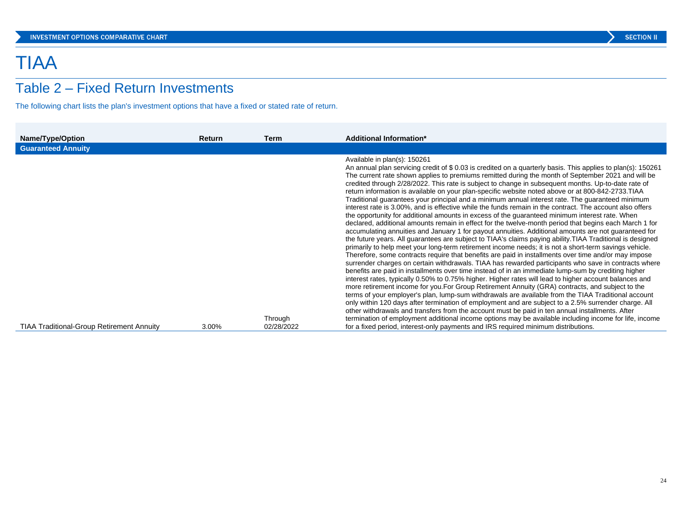# TIAA

# Table 2 – Fixed Return Investments

The following chart lists the plan's investment options that have a fixed or stated rate of return.

| Name/Type/Option                                 | <b>Return</b> | Term       | <b>Additional Information*</b>                                                                                                                                                                                                                                                                                                                                                                                                                                                                                                                                                                                                                                                                                                                                                                                                                                                                                                                                                                                                                                                                                                                                                                                                                                                                                                                                                                                                                                                                                                                                                                                                                                                                                                                                                                                                                                                                                                                                                                                                                                                                                                                                                               |
|--------------------------------------------------|---------------|------------|----------------------------------------------------------------------------------------------------------------------------------------------------------------------------------------------------------------------------------------------------------------------------------------------------------------------------------------------------------------------------------------------------------------------------------------------------------------------------------------------------------------------------------------------------------------------------------------------------------------------------------------------------------------------------------------------------------------------------------------------------------------------------------------------------------------------------------------------------------------------------------------------------------------------------------------------------------------------------------------------------------------------------------------------------------------------------------------------------------------------------------------------------------------------------------------------------------------------------------------------------------------------------------------------------------------------------------------------------------------------------------------------------------------------------------------------------------------------------------------------------------------------------------------------------------------------------------------------------------------------------------------------------------------------------------------------------------------------------------------------------------------------------------------------------------------------------------------------------------------------------------------------------------------------------------------------------------------------------------------------------------------------------------------------------------------------------------------------------------------------------------------------------------------------------------------------|
| <b>Guaranteed Annuity</b>                        |               |            |                                                                                                                                                                                                                                                                                                                                                                                                                                                                                                                                                                                                                                                                                                                                                                                                                                                                                                                                                                                                                                                                                                                                                                                                                                                                                                                                                                                                                                                                                                                                                                                                                                                                                                                                                                                                                                                                                                                                                                                                                                                                                                                                                                                              |
|                                                  |               | Through    | Available in plan(s): 150261<br>An annual plan servicing credit of \$ 0.03 is credited on a quarterly basis. This applies to plan(s): 150261<br>The current rate shown applies to premiums remitted during the month of September 2021 and will be<br>credited through 2/28/2022. This rate is subject to change in subsequent months. Up-to-date rate of<br>return information is available on your plan-specific website noted above or at 800-842-2733. TIAA<br>Traditional guarantees your principal and a minimum annual interest rate. The guaranteed minimum<br>interest rate is 3.00%, and is effective while the funds remain in the contract. The account also offers<br>the opportunity for additional amounts in excess of the guaranteed minimum interest rate. When<br>declared, additional amounts remain in effect for the twelve-month period that begins each March 1 for<br>accumulating annuities and January 1 for payout annuities. Additional amounts are not guaranteed for<br>the future years. All guarantees are subject to TIAA's claims paying ability. TIAA Traditional is designed<br>primarily to help meet your long-term retirement income needs; it is not a short-term savings vehicle.<br>Therefore, some contracts require that benefits are paid in installments over time and/or may impose<br>surrender charges on certain withdrawals. TIAA has rewarded participants who save in contracts where<br>benefits are paid in installments over time instead of in an immediate lump-sum by crediting higher<br>interest rates, typically 0.50% to 0.75% higher. Higher rates will lead to higher account balances and<br>more retirement income for you. For Group Retirement Annuity (GRA) contracts, and subject to the<br>terms of your employer's plan, lump-sum withdrawals are available from the TIAA Traditional account<br>only within 120 days after termination of employment and are subject to a 2.5% surrender charge. All<br>other withdrawals and transfers from the account must be paid in ten annual installments. After<br>termination of employment additional income options may be available including income for life, income |
| <b>TIAA Traditional-Group Retirement Annuity</b> | 3.00%         | 02/28/2022 | for a fixed period, interest-only payments and IRS required minimum distributions.                                                                                                                                                                                                                                                                                                                                                                                                                                                                                                                                                                                                                                                                                                                                                                                                                                                                                                                                                                                                                                                                                                                                                                                                                                                                                                                                                                                                                                                                                                                                                                                                                                                                                                                                                                                                                                                                                                                                                                                                                                                                                                           |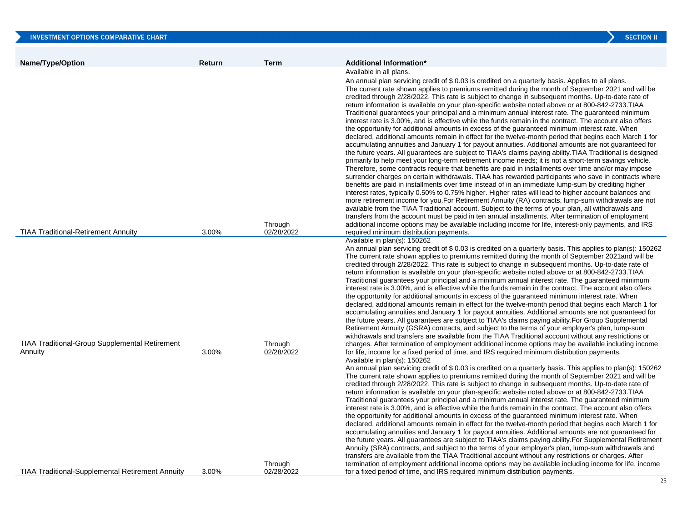| INVESTMENT OPTIONS COMPARATIVE CHART                    |        |                       | <b>SECTION II</b>                                                                                                                                                                                                                                                                                                                                                                                                                                                                                                                                                                                                                                                                                                                                                                                                                                                                                                                                                                                                                                                                                                                                                                                                                                                                                                                                                                                                                                                                                                                         |
|---------------------------------------------------------|--------|-----------------------|-------------------------------------------------------------------------------------------------------------------------------------------------------------------------------------------------------------------------------------------------------------------------------------------------------------------------------------------------------------------------------------------------------------------------------------------------------------------------------------------------------------------------------------------------------------------------------------------------------------------------------------------------------------------------------------------------------------------------------------------------------------------------------------------------------------------------------------------------------------------------------------------------------------------------------------------------------------------------------------------------------------------------------------------------------------------------------------------------------------------------------------------------------------------------------------------------------------------------------------------------------------------------------------------------------------------------------------------------------------------------------------------------------------------------------------------------------------------------------------------------------------------------------------------|
|                                                         |        |                       |                                                                                                                                                                                                                                                                                                                                                                                                                                                                                                                                                                                                                                                                                                                                                                                                                                                                                                                                                                                                                                                                                                                                                                                                                                                                                                                                                                                                                                                                                                                                           |
| <b>Name/Type/Option</b>                                 | Return | <b>Term</b>           | <b>Additional Information*</b>                                                                                                                                                                                                                                                                                                                                                                                                                                                                                                                                                                                                                                                                                                                                                                                                                                                                                                                                                                                                                                                                                                                                                                                                                                                                                                                                                                                                                                                                                                            |
|                                                         |        |                       | Available in all plans.                                                                                                                                                                                                                                                                                                                                                                                                                                                                                                                                                                                                                                                                                                                                                                                                                                                                                                                                                                                                                                                                                                                                                                                                                                                                                                                                                                                                                                                                                                                   |
|                                                         |        |                       | An annual plan servicing credit of \$0.03 is credited on a quarterly basis. Applies to all plans.<br>The current rate shown applies to premiums remitted during the month of September 2021 and will be<br>credited through 2/28/2022. This rate is subject to change in subsequent months. Up-to-date rate of<br>return information is available on your plan-specific website noted above or at 800-842-2733. TIAA<br>Traditional guarantees your principal and a minimum annual interest rate. The guaranteed minimum<br>interest rate is 3.00%, and is effective while the funds remain in the contract. The account also offers<br>the opportunity for additional amounts in excess of the guaranteed minimum interest rate. When<br>declared, additional amounts remain in effect for the twelve-month period that begins each March 1 for<br>accumulating annuities and January 1 for payout annuities. Additional amounts are not guaranteed for<br>the future years. All guarantees are subject to TIAA's claims paying ability. TIAA Traditional is designed                                                                                                                                                                                                                                                                                                                                                                                                                                                                    |
|                                                         |        |                       | primarily to help meet your long-term retirement income needs; it is not a short-term savings vehicle.<br>Therefore, some contracts require that benefits are paid in installments over time and/or may impose<br>surrender charges on certain withdrawals. TIAA has rewarded participants who save in contracts where<br>benefits are paid in installments over time instead of in an immediate lump-sum by crediting higher<br>interest rates, typically 0.50% to 0.75% higher. Higher rates will lead to higher account balances and<br>more retirement income for you. For Retirement Annuity (RA) contracts, lump-sum withdrawals are not<br>available from the TIAA Traditional account. Subject to the terms of your plan, all withdrawals and<br>transfers from the account must be paid in ten annual installments. After termination of employment                                                                                                                                                                                                                                                                                                                                                                                                                                                                                                                                                                                                                                                                              |
|                                                         |        | Through               | additional income options may be available including income for life, interest-only payments, and IRS                                                                                                                                                                                                                                                                                                                                                                                                                                                                                                                                                                                                                                                                                                                                                                                                                                                                                                                                                                                                                                                                                                                                                                                                                                                                                                                                                                                                                                     |
| <b>TIAA Traditional-Retirement Annuity</b>              | 3.00%  | 02/28/2022            | required minimum distribution payments.<br>Available in plan(s): 150262                                                                                                                                                                                                                                                                                                                                                                                                                                                                                                                                                                                                                                                                                                                                                                                                                                                                                                                                                                                                                                                                                                                                                                                                                                                                                                                                                                                                                                                                   |
|                                                         |        |                       | An annual plan servicing credit of \$ 0.03 is credited on a quarterly basis. This applies to plan(s): 150262<br>The current rate shown applies to premiums remitted during the month of September 2021 and will be<br>credited through 2/28/2022. This rate is subject to change in subsequent months. Up-to-date rate of<br>return information is available on your plan-specific website noted above or at 800-842-2733. TIAA<br>Traditional guarantees your principal and a minimum annual interest rate. The guaranteed minimum<br>interest rate is 3.00%, and is effective while the funds remain in the contract. The account also offers<br>the opportunity for additional amounts in excess of the quaranteed minimum interest rate. When<br>declared, additional amounts remain in effect for the twelve-month period that begins each March 1 for<br>accumulating annuities and January 1 for payout annuities. Additional amounts are not guaranteed for<br>the future years. All guarantees are subject to TIAA's claims paying ability. For Group Supplemental<br>Retirement Annuity (GSRA) contracts, and subject to the terms of your employer's plan, lump-sum<br>withdrawals and transfers are available from the TIAA Traditional account without any restrictions or                                                                                                                                                                                                                                                   |
| <b>TIAA Traditional-Group Supplemental Retirement</b>   |        | Through               | charges. After termination of employment additional income options may be available including income                                                                                                                                                                                                                                                                                                                                                                                                                                                                                                                                                                                                                                                                                                                                                                                                                                                                                                                                                                                                                                                                                                                                                                                                                                                                                                                                                                                                                                      |
| Annuity                                                 | 3.00%  | 02/28/2022<br>Through | for life, income for a fixed period of time, and IRS required minimum distribution payments.<br>Available in plan(s): 150262<br>An annual plan servicing credit of \$ 0.03 is credited on a quarterly basis. This applies to plan(s): 150262<br>The current rate shown applies to premiums remitted during the month of September 2021 and will be<br>credited through 2/28/2022. This rate is subject to change in subsequent months. Up-to-date rate of<br>return information is available on your plan-specific website noted above or at 800-842-2733. TIAA<br>Traditional guarantees your principal and a minimum annual interest rate. The guaranteed minimum<br>interest rate is 3.00%, and is effective while the funds remain in the contract. The account also offers<br>the opportunity for additional amounts in excess of the guaranteed minimum interest rate. When<br>declared, additional amounts remain in effect for the twelve-month period that begins each March 1 for<br>accumulating annuities and January 1 for payout annuities. Additional amounts are not guaranteed for<br>the future years. All guarantees are subject to TIAA's claims paying ability. For Supplemental Retirement<br>Annuity (SRA) contracts, and subject to the terms of your employer's plan, lump-sum withdrawals and<br>transfers are available from the TIAA Traditional account without any restrictions or charges. After<br>termination of employment additional income options may be available including income for life, income |
| <b>TIAA Traditional-Supplemental Retirement Annuity</b> | 3.00%  | 02/28/2022            | for a fixed period of time, and IRS required minimum distribution payments.                                                                                                                                                                                                                                                                                                                                                                                                                                                                                                                                                                                                                                                                                                                                                                                                                                                                                                                                                                                                                                                                                                                                                                                                                                                                                                                                                                                                                                                               |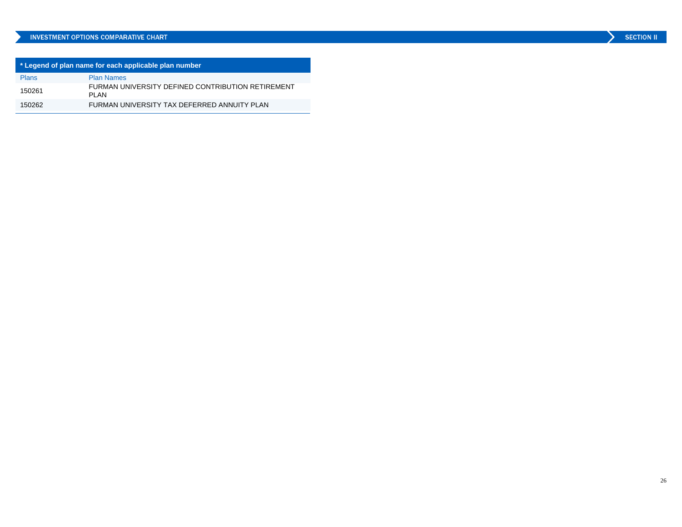# INVESTMENT OPTIONS COMPARATIVE CHART

| * Legend of plan name for each applicable plan number |                                                            |  |  |  |  |
|-------------------------------------------------------|------------------------------------------------------------|--|--|--|--|
| Plans                                                 | <b>Plan Names</b>                                          |  |  |  |  |
| 150261                                                | FURMAN UNIVERSITY DEFINED CONTRIBUTION RETIREMENT<br>PI AN |  |  |  |  |
| 150262                                                | FURMAN UNIVERSITY TAX DEFERRED ANNUITY PLAN                |  |  |  |  |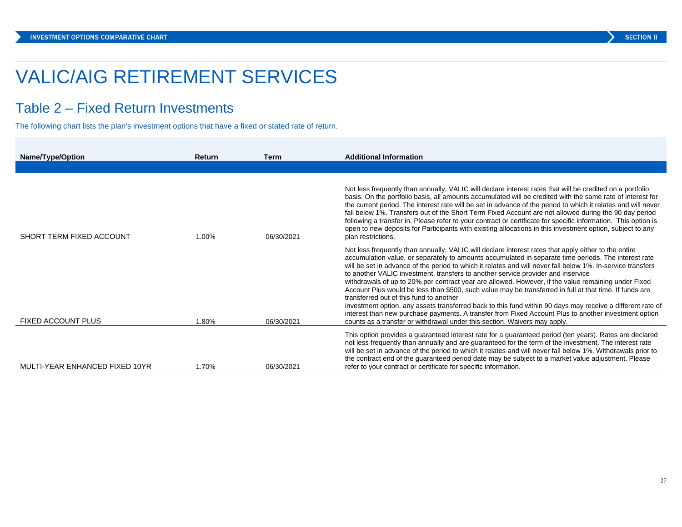# VALIC/AIG RETIREMENT SERVICES

# Table 2 – Fixed Return Investments

The following chart lists the plan's investment options that have a fixed or stated rate of return.

| Name/Type/Option               | <b>Return</b> | Term       | <b>Additional Information</b>                                                                                                                                                                                                                                                                                                                                                                                                                                                                                                                                                                                                                                                                                                                                                                                                                                                                                                                                                   |
|--------------------------------|---------------|------------|---------------------------------------------------------------------------------------------------------------------------------------------------------------------------------------------------------------------------------------------------------------------------------------------------------------------------------------------------------------------------------------------------------------------------------------------------------------------------------------------------------------------------------------------------------------------------------------------------------------------------------------------------------------------------------------------------------------------------------------------------------------------------------------------------------------------------------------------------------------------------------------------------------------------------------------------------------------------------------|
|                                |               |            |                                                                                                                                                                                                                                                                                                                                                                                                                                                                                                                                                                                                                                                                                                                                                                                                                                                                                                                                                                                 |
| SHORT TERM FIXED ACCOUNT       | 1.00%         | 06/30/2021 | Not less frequently than annually, VALIC will declare interest rates that will be credited on a portfolio<br>basis. On the portfolio basis, all amounts accumulated will be credited with the same rate of interest for<br>the current period. The interest rate will be set in advance of the period to which it relates and will never<br>fall below 1%. Transfers out of the Short Term Fixed Account are not allowed during the 90 day period<br>following a transfer in. Please refer to your contract or certificate for specific information. This option is<br>open to new deposits for Participants with existing allocations in this investment option, subject to any<br>plan restrictions.                                                                                                                                                                                                                                                                          |
| <b>FIXED ACCOUNT PLUS</b>      | 1.80%         | 06/30/2021 | Not less frequently than annually, VALIC will declare interest rates that apply either to the entire<br>accumulation value, or separately to amounts accumulated in separate time periods. The interest rate<br>will be set in advance of the period to which it relates and will never fall below 1%. In-service transfers<br>to another VALIC investment, transfers to another service provider and inservice<br>withdrawals of up to 20% per contract year are allowed. However, if the value remaining under Fixed<br>Account Plus would be less than \$500, such value may be transferred in full at that time. If funds are<br>transferred out of this fund to another<br>investment option, any assets transferred back to this fund within 90 days may receive a different rate of<br>interest than new purchase payments. A transfer from Fixed Account Plus to another investment option<br>counts as a transfer or withdrawal under this section. Waivers may apply. |
| MULTI-YEAR ENHANCED FIXED 10YR | 1.70%         | 06/30/2021 | This option provides a guaranteed interest rate for a guaranteed period (ten years). Rates are declared<br>not less frequently than annually and are guaranteed for the term of the investment. The interest rate<br>will be set in advance of the period to which it relates and will never fall below 1%. Withdrawals prior to<br>the contract end of the guaranteed period date may be subject to a market value adjustment. Please<br>refer to your contract or certificate for specific information.                                                                                                                                                                                                                                                                                                                                                                                                                                                                       |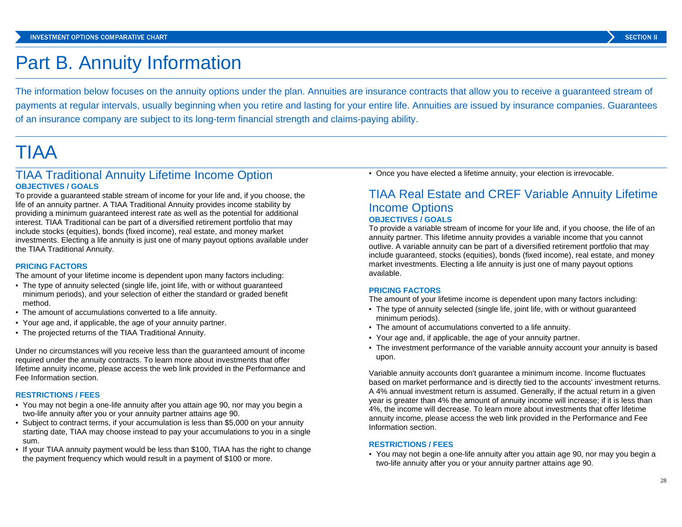# Part B. Annuity Information

The information below focuses on the annuity options under the plan. Annuities are insurance contracts that allow you to receive a guaranteed stream of payments at regular intervals, usually beginning when you retire and lasting for your entire life. Annuities are issued by insurance companies. Guarantees of an insurance company are subject to its long-term financial strength and claims-paying ability.

# TIAA

# TIAA Traditional Annuity Lifetime Income Option **OBJECTIVES / GOALS**

To provide a guaranteed stable stream of income for your life and, if you choose, the life of an annuity partner. A TIAA Traditional Annuity provides income stability by providing a minimum guaranteed interest rate as well as the potential for additional interest. TIAA Traditional can be part of a diversified retirement portfolio that may include stocks (equities), bonds (fixed income), real estate, and money market investments. Electing a life annuity is just one of many payout options available under the TIAA Traditional Annuity.

## **PRICING FACTORS**

The amount of your lifetime income is dependent upon many factors including:

- The type of annuity selected (single life, joint life, with or without guaranteed minimum periods), and your selection of either the standard or graded benefit method.
- The amount of accumulations converted to a life annuity.
- Your age and, if applicable, the age of your annuity partner.
- The projected returns of the TIAA Traditional Annuity.

Under no circumstances will you receive less than the guaranteed amount of income required under the annuity contracts. To learn more about investments that offer lifetime annuity income, please access the web link provided in the Performance and Fee Information section.

### **RESTRICTIONS / FEES**

- You may not begin a one-life annuity after you attain age 90, nor may you begin a two-life annuity after you or your annuity partner attains age 90.
- Subject to contract terms, if your accumulation is less than \$5,000 on your annuity starting date, TIAA may choose instead to pay your accumulations to you in a single sum.
- If your TIAA annuity payment would be less than \$100, TIAA has the right to change the payment frequency which would result in a payment of \$100 or more.

▪ Once you have elected a lifetime annuity, your election is irrevocable.

# TIAA Real Estate and CREF Variable Annuity Lifetime Income Options **OBJECTIVES / GOALS**

To provide a variable stream of income for your life and, if you choose, the life of an annuity partner. This lifetime annuity provides a variable income that you cannot outlive. A variable annuity can be part of a diversified retirement portfolio that may include guaranteed, stocks (equities), bonds (fixed income), real estate, and money market investments. Electing a life annuity is just one of many payout options available.

### **PRICING FACTORS**

The amount of your lifetime income is dependent upon many factors including:

- The type of annuity selected (single life, joint life, with or without guaranteed minimum periods).
- The amount of accumulations converted to a life annuity.
- Your age and, if applicable, the age of your annuity partner.
- The investment performance of the variable annuity account your annuity is based upon.

Variable annuity accounts don't guarantee a minimum income. Income fluctuates based on market performance and is directly tied to the accounts' investment returns. A 4% annual investment return is assumed. Generally, if the actual return in a given year is greater than 4% the amount of annuity income will increase; if it is less than 4%, the income will decrease. To learn more about investments that offer lifetime annuity income, please access the web link provided in the Performance and Fee Information section.

### **RESTRICTIONS / FEES**

▪ You may not begin a one-life annuity after you attain age 90, nor may you begin a two-life annuity after you or your annuity partner attains age 90.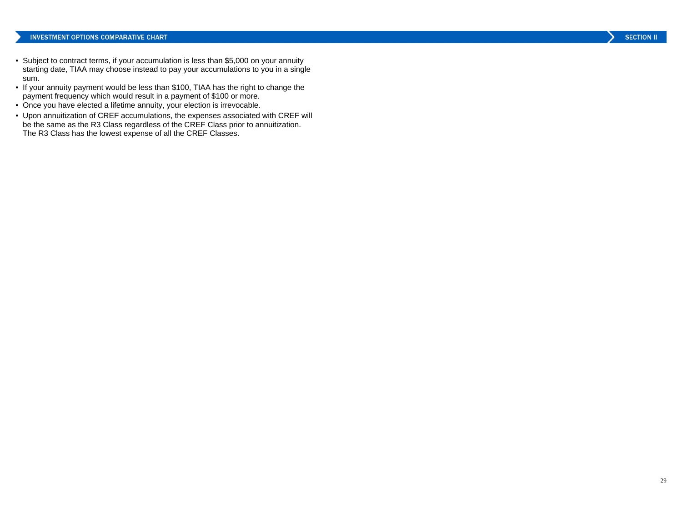- Subject to contract terms, if your accumulation is less than \$5,000 on your annuity starting date, TIAA may choose instead to pay your accumulations to you in a single sum.
- If your annuity payment would be less than \$100, TIAA has the right to change the payment frequency which would result in a payment of \$100 or more.
- Once you have elected a lifetime annuity, your election is irrevocable.
- Upon annuitization of CREF accumulations, the expenses associated with CREF will be the same as the R3 Class regardless of the CREF Class prior to annuitization. The R3 Class has the lowest expense of all the CREF Classes.